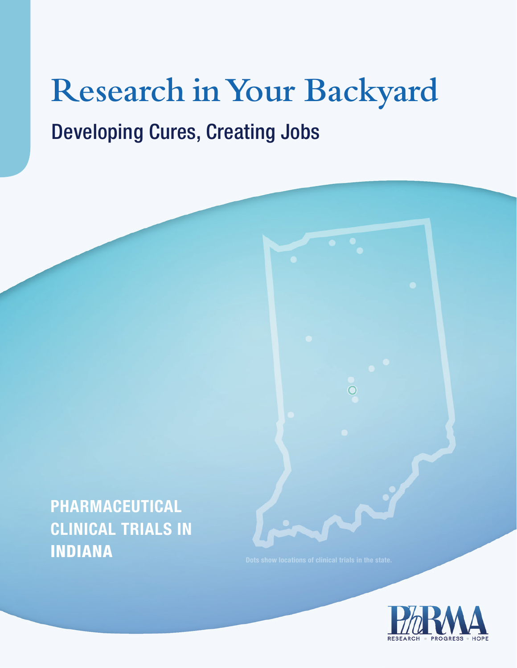# **Research in Your Backyard** Developing Cures, Creating Jobs

# **Pharmaceutical Clinical Trials in INDIANA**

 $\circ$ 

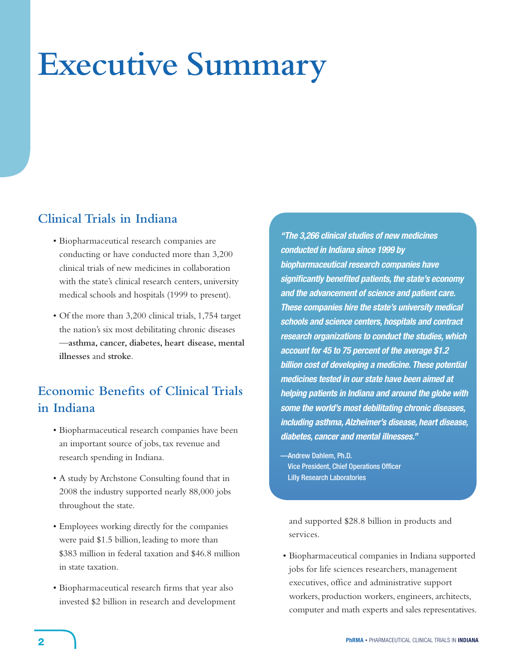# **Executive Summary**

# **Clinical Trials in Indiana**

- • Biopharmaceutical research companies are conducting or have conducted more than 3,200 clinical trials of new medicines in collaboration with the state's clinical research centers, university medical schools and hospitals (1999 to present).
- Of the more than 3,200 clinical trials, 1,754 target the nation's six most debilitating chronic diseases —**asthma, cancer, diabetes, heart disease, mental illnesses** and **stroke**.

# **Economic Benefits of Clinical Trials in Indiana**

- • Biopharmaceutical research companies have been an important source of jobs, tax revenue and research spending in Indiana.
- A study by Archstone Consulting found that in 2008 the industry supported nearly 88,000 jobs throughout the state.
- • Employees working directly for the companies were paid \$1.5 billion, leading to more than \$383 million in federal taxation and \$46.8 million in state taxation.
- Biopharmaceutical research firms that year also invested \$2 billion in research and development

*"The 3,266 clinical studies of new medicines conducted in Indiana since 1999 by biopharmaceutical research companies have significantly benefited patients, the state's economy and the advancement of science and patient care. These companies hire the state's university medical schools and science centers, hospitals and contract research organizations to conduct the studies, which account for 45 to 75 percent of the average \$1.2 billion cost of developing a medicine. These potential medicines tested in our state have been aimed at helping patients in Indiana and around the globe with some the world's most debilitating chronic diseases, including asthma, Alzheimer's disease, heart disease, diabetes, cancer and mental illnesses."*

—Andrew Dahlem, Ph.D. Vice President, Chief Operations Officer Lilly Research Laboratories

and supported \$28.8 billion in products and services.

• Biopharmaceutical companies in Indiana supported jobs for life sciences researchers, management executives, office and administrative support workers, production workers, engineers, architects, computer and math experts and sales representatives.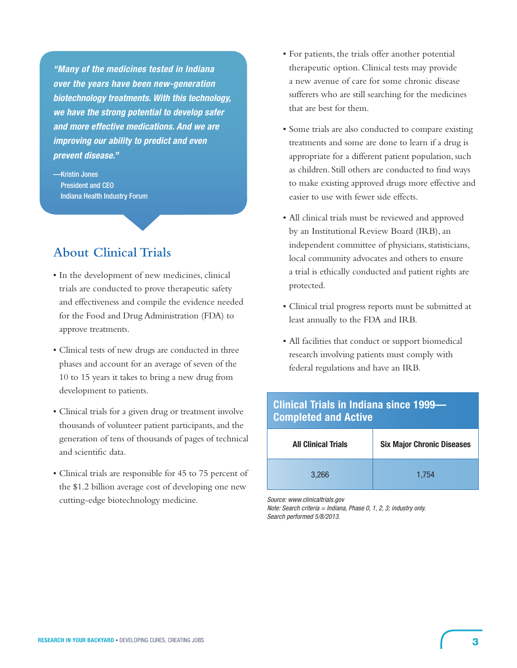*"Many of the medicines tested in Indiana over the years have been new-generation biotechnology treatments. With this technology, we have the strong potential to develop safer and more effective medications. And we are improving our ability to predict and even prevent disease."* 

—Kristin Jones President and CEO Indiana Health Industry Forum

# **About Clinical Trials**

- • In the development of new medicines, clinical trials are conducted to prove therapeutic safety and effectiveness and compile the evidence needed for the Food and Drug Administration (FDA) to approve treatments.
- • Clinical tests of new drugs are conducted in three phases and account for an average of seven of the 10 to 15 years it takes to bring a new drug from development to patients.
- Clinical trials for a given drug or treatment involve thousands of volunteer patient participants, and the generation of tens of thousands of pages of technical and scientific data.
- • Clinical trials are responsible for 45 to 75 percent of the \$1.2 billion average cost of developing one new cutting-edge biotechnology medicine.
- • For patients, the trials offer another potential therapeutic option. Clinical tests may provide a new avenue of care for some chronic disease sufferers who are still searching for the medicines that are best for them.
- • Some trials are also conducted to compare existing treatments and some are done to learn if a drug is appropriate for a different patient population, such as children. Still others are conducted to find ways to make existing approved drugs more effective and easier to use with fewer side effects.
- All clinical trials must be reviewed and approved by an Institutional Review Board (IRB), an independent committee of physicians, statisticians, local community advocates and others to ensure a trial is ethically conducted and patient rights are protected.
- • Clinical trial progress reports must be submitted at least annually to the FDA and IRB.
- • All facilities that conduct or support biomedical research involving patients must comply with federal regulations and have an IRB.

# **Clinical Trials in Indiana since 1999— Completed and Active**

| <b>All Clinical Trials</b> | <b>Six Major Chronic Diseases</b> |  |  |  |  |  |
|----------------------------|-----------------------------------|--|--|--|--|--|
| 3,266                      | 1,754                             |  |  |  |  |  |

*Source: www.clinicaltrials.gov*

*Note: Search criteria = Indiana, Phase 0, 1, 2, 3; industry only. Search performed 5/8/2013.*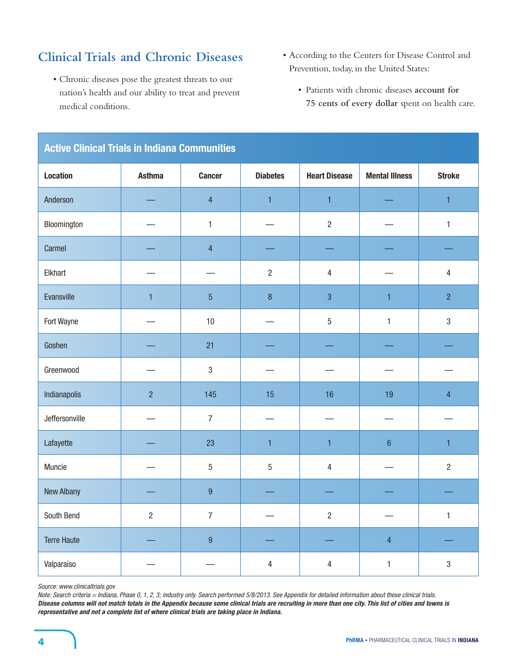# **Clinical Trials and Chronic Diseases**

- • Chronic diseases pose the greatest threats to our nation's health and our ability to treat and prevent medical conditions.
- • According to the Centers for Disease Control and Prevention, today, in the United States:
	- • Patients with chronic diseases **account for 75 cents of every dollar** spent on health care.

| ACUVE UNIIICAI THAIS IN MUMANA COMMUNICIOS |                |                |                 |                      |                       |                |  |  |
|--------------------------------------------|----------------|----------------|-----------------|----------------------|-----------------------|----------------|--|--|
| <b>Location</b>                            | <b>Asthma</b>  | <b>Cancer</b>  | <b>Diabetes</b> | <b>Heart Disease</b> | <b>Mental Illness</b> | <b>Stroke</b>  |  |  |
| Anderson                                   |                | $\overline{4}$ | $\mathbf{1}$    | $\mathbf{1}$         |                       | $\mathbf{1}$   |  |  |
| Bloomington                                |                | $\mathbf{1}$   |                 | $\overline{2}$       |                       | $\mathbf{1}$   |  |  |
| Carmel                                     |                | $\overline{4}$ |                 |                      |                       |                |  |  |
| Elkhart                                    |                |                | $\overline{c}$  | $\overline{4}$       |                       | $\overline{4}$ |  |  |
| Evansville                                 | $\mathbf{1}$   | $\overline{5}$ | $\bf 8$         | $\overline{3}$       | $\mathbf{1}$          | $\overline{2}$ |  |  |
| Fort Wayne                                 |                | 10             |                 | $\overline{5}$       | $\mathbf{1}$          | $\mathbf{3}$   |  |  |
| Goshen                                     |                | 21             |                 |                      |                       |                |  |  |
| Greenwood                                  |                | $\mathbf{3}$   |                 |                      |                       |                |  |  |
| Indianapolis                               | $\overline{2}$ | 145            | 15              | 16                   | 19                    | $\overline{4}$ |  |  |
| Jeffersonville                             |                | $\overline{7}$ |                 |                      |                       |                |  |  |
| Lafayette                                  |                | 23             | $\mathbf{1}$    | $\mathbf{1}$         | $6\phantom{a}$        | $\mathbf{1}$   |  |  |
| Muncie                                     |                | $\sqrt{5}$     | 5               | $\overline{4}$       |                       | $\overline{2}$ |  |  |
| New Albany                                 |                | $\overline{9}$ |                 |                      |                       |                |  |  |
| South Bend                                 | $\overline{2}$ | $\overline{7}$ |                 | $\overline{c}$       |                       | $\mathbf{1}$   |  |  |
| <b>Terre Haute</b>                         |                | $\overline{9}$ |                 |                      | $\overline{4}$        |                |  |  |
| Valparaiso                                 |                |                | $\overline{4}$  | $\overline{4}$       | $\mathbf{1}$          | $\sqrt{3}$     |  |  |

# **Active Clinical Trials in Indiana Communities**

*Source: www.clinicaltrials.gov*

*Note: Search criteria = Indiana, Phase 0, 1, 2, 3; industry only. Search performed 5/8/2013. See Appendix for detailed information about these clinical trials. Disease columns will not match totals in the Appendix because some clinical trials are recruiting in more than one city. This list of cities and towns is representative and not a complete list of where clinical trials are taking place in Indiana.*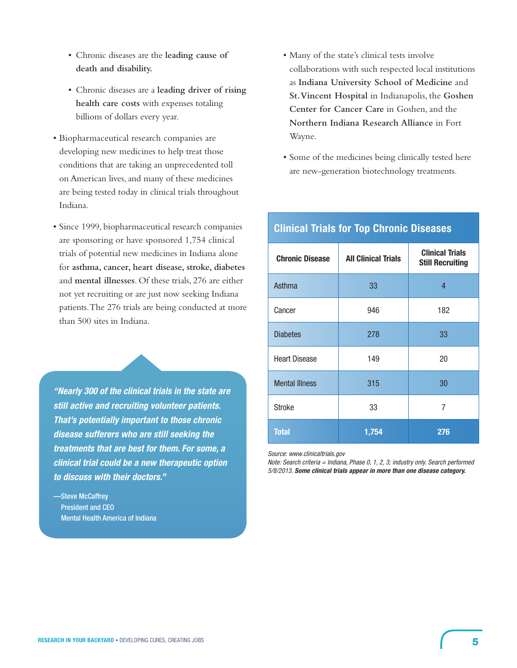- • Chronic diseases are the **leading cause of death and disability.**
- • Chronic diseases are a **leading driver of rising health care costs** with expenses totaling billions of dollars every year.
- • Biopharmaceutical research companies are developing new medicines to help treat those conditions that are taking an unprecedented toll on American lives, and many of these medicines are being tested today in clinical trials throughout Indiana.
- • Since 1999, biopharmaceutical research companies are sponsoring or have sponsored 1,754 clinical trials of potential new medicines in Indiana alone for **asthma, cancer, heart disease, stroke, diabetes** and **mental illnesses**. Of these trials, 276 are either not yet recruiting or are just now seeking Indiana patients.The 276 trials are being conducted at more than 500 sites in Indiana.

*"Nearly 300 of the clinical trials in the state are still active and recruiting volunteer patients. That's potentially important to those chronic disease sufferers who are still seeking the treatments that are best for them. For some, a clinical trial could be a new therapeutic option to discuss with their doctors."*

—Steve McCaffrey President and CEO Mental Health America of Indiana

- • Many of the state's clinical tests involve collaborations with such respected local institutions as **Indiana University School of Medicine** and **St. Vincent Hospital** in Indianapolis, the **Goshen Center for Cancer Care** in Goshen, and the **Northern Indiana Research Alliance** in Fort Wayne.
- • Some of the medicines being clinically tested here are new-generation biotechnology treatments.

| <b>Chronic Disease</b> | <b>All Clinical Trials</b> | <b>Clinical Trials</b><br><b>Still Recruiting</b> |
|------------------------|----------------------------|---------------------------------------------------|
| Asthma                 | 33                         | 4                                                 |
| Cancer                 | 946                        | 182                                               |
| <b>Diabetes</b>        | 278                        | 33                                                |
| <b>Heart Disease</b>   | 149                        | 20                                                |
| <b>Mental Illness</b>  | 315                        | 30                                                |
| <b>Stroke</b>          | 33                         | 7                                                 |
| <b>Total</b>           | 1,754                      | 276                                               |

# **Clinical Trials for Top Chronic Diseases**

*Source: www.clinicaltrials.gov*

*Note: Search criteria = Indiana, Phase 0, 1, 2, 3; industry only. Search performed 5/8/2013. Some clinical trials appear in more than one disease category.*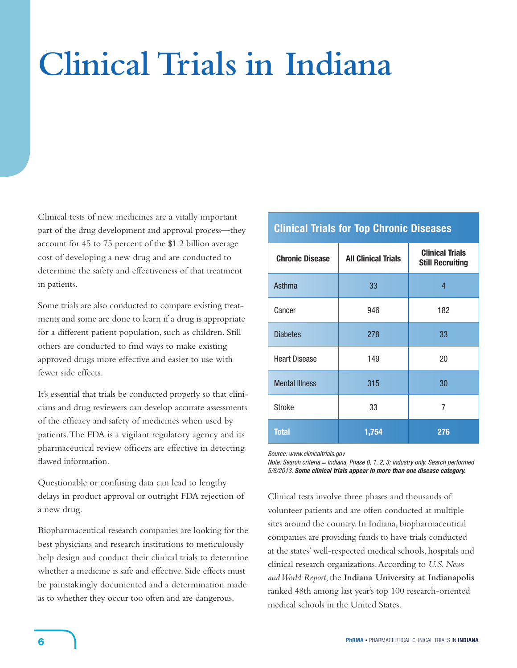# **Clinical Trials in Indiana**

Clinical tests of new medicines are a vitally important part of the drug development and approval process—they account for 45 to 75 percent of the \$1.2 billion average cost of developing a new drug and are conducted to determine the safety and effectiveness of that treatment in patients.

Some trials are also conducted to compare existing treatments and some are done to learn if a drug is appropriate for a different patient population, such as children*.* Still others are conducted to find ways to make existing approved drugs more effective and easier to use with fewer side effects.

It's essential that trials be conducted properly so that clinicians and drug reviewers can develop accurate assessments of the efficacy and safety of medicines when used by patients.The FDA is a vigilant regulatory agency and its pharmaceutical review officers are effective in detecting flawed information.

Questionable or confusing data can lead to lengthy delays in product approval or outright FDA rejection of a new drug.

Biopharmaceutical research companies are looking for the best physicians and research institutions to meticulously help design and conduct their clinical trials to determine whether a medicine is safe and effective. Side effects must be painstakingly documented and a determination made as to whether they occur too often and are dangerous.

# **Clinical Trials for Top Chronic Diseases**

| <b>Chronic Disease</b> | <b>All Clinical Trials</b> | <b>Clinical Trials</b><br><b>Still Recruiting</b> |
|------------------------|----------------------------|---------------------------------------------------|
| Asthma                 | 33                         | 4                                                 |
| Cancer                 | 946                        | 182                                               |
| <b>Diabetes</b>        | 278                        | 33                                                |
| <b>Heart Disease</b>   | 149                        | 20                                                |
| <b>Mental Illness</b>  | 315                        | 30                                                |
| <b>Stroke</b>          | 33                         | 7                                                 |
| <b>Total</b>           | 1,754                      | 276                                               |

*Source: www.clinicaltrials.gov*

*Note: Search criteria = Indiana, Phase 0, 1, 2, 3; industry only. Search performed 5/8/2013. Some clinical trials appear in more than one disease category.*

Clinical tests involve three phases and thousands of volunteer patients and are often conducted at multiple sites around the country. In Indiana, biopharmaceutical companies are providing funds to have trials conducted at the states' well-respected medical schools, hospitals and clinical research organizations.According to *U.S. News and World Report*, the **Indiana University at Indianapolis** ranked 48th among last year's top 100 research-oriented medical schools in the United States.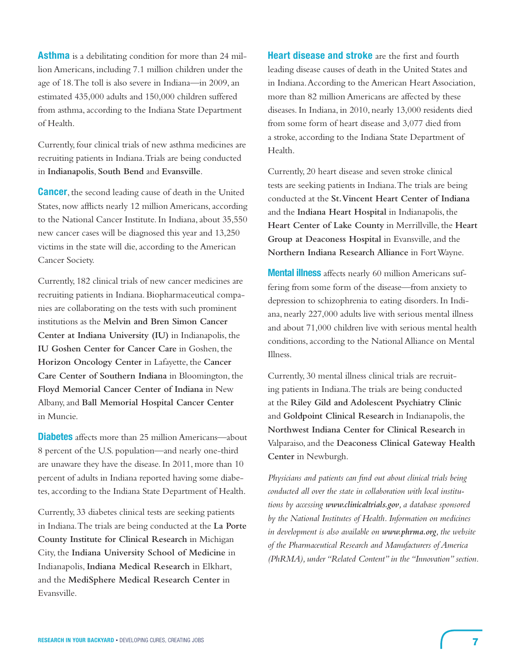**Asthma** is a debilitating condition for more than 24 million Americans, including 7.1 million children under the age of 18. The toll is also severe in Indiana—in 2009, an estimated 435,000 adults and 150,000 children suffered from asthma, according to the Indiana State Department of Health.

Currently, four clinical trials of new asthma medicines are recruiting patients in Indiana.Trials are being conducted in **Indianapolis**, **South Bend** and **Evansville**.

**Cancer**, the second leading cause of death in the United States, now afflicts nearly 12 million Americans, according to the National Cancer Institute. In Indiana, about 35,550 new cancer cases will be diagnosed this year and 13,250 victims in the state will die, according to the American Cancer Society.

Currently, 182 clinical trials of new cancer medicines are recruiting patients in Indiana. Biopharmaceutical companies are collaborating on the tests with such prominent institutions as the **Melvin and Bren Simon Cancer Center at Indiana University (IU)** in Indianapolis, the **IU Goshen Center for Cancer Care** in Goshen, the **Horizon Oncology Center** in Lafayette, the **Cancer Care Center of Southern Indiana** in Bloomington, the **Floyd Memorial Cancer Center of Indiana** in New Albany,and **Ball Memorial Hospital Cancer Center** in Muncie.

**Diabetes** affects more than 25 million Americans—about 8 percent of the U.S. population—and nearly one-third are unaware they have the disease. In 2011, more than 10 percent of adults in Indiana reported having some diabetes, according to the Indiana State Department of Health.

Currently, 33 diabetes clinical tests are seeking patients in Indiana.The trials are being conducted at the **La Porte County Institute for Clinical Research** in Michigan City, the **Indiana University School of Medicine** in Indianapolis, **Indiana Medical Research** in Elkhart, and the **MediSphere Medical Research Center** in Evansville.

**Heart disease and stroke** are the first and fourth leading disease causes of death in the United States and in Indiana.According to the American Heart Association, more than 82 million Americans are affected by these diseases. In Indiana, in 2010, nearly 13,000 residents died from some form of heart disease and 3,077 died from a stroke, according to the Indiana State Department of Health.

Currently, 20 heart disease and seven stroke clinical tests are seeking patients in Indiana.The trials are being conducted at the **St. Vincent Heart Center of Indiana** and the **Indiana Heart Hospital** in Indianapolis, the **Heart Center of Lake County** in Merrillville, the **Heart**  Group at Deaconess Hospital in Evansville, and the **Northern Indiana Research Alliance** in FortWayne.

**Mental illness** affects nearly 60 million Americans suffering from some form of the disease—from anxiety to depression to schizophrenia to eating disorders. In Indiana, nearly 227,000 adults live with serious mental illness and about 71,000 children live with serious mental health conditions, according to the National Alliance on Mental Illness.

Currently, 30 mental illness clinical trials are recruiting patients in Indiana.The trials are being conducted at the **Riley Gild and Adolescent Psychiatry Clinic** and **Goldpoint Clinical Research** in Indianapolis, the **Northwest Indiana Center for Clinical Research** in Valparaiso,and the **Deaconess Clinical Gateway Health Center** in Newburgh.

*Physicians and patients can find out about clinical trials being conducted all over the state in collaboration with local institutions by accessing www.clinicaltrials.gov, a database sponsored by the National Institutes of Health. Information on medicines in development is also available on www.phrma.org, the website of the Pharmaceutical Research and Manufacturers of America (PhRMA), under "Related Content" in the "Innovation" section.*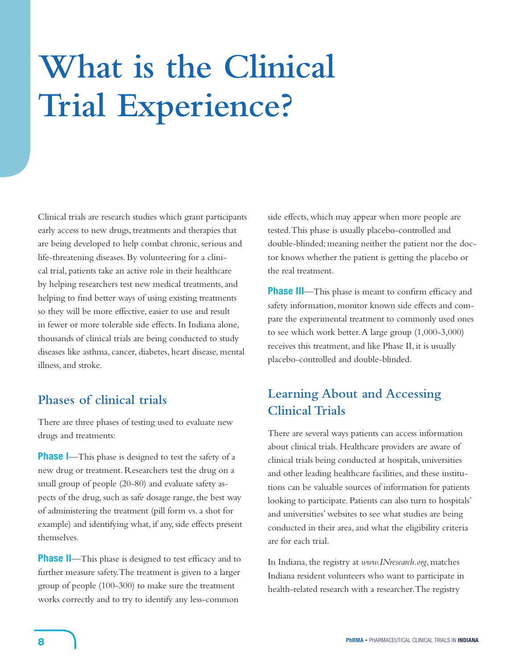# **What is the Clinical Trial Experience?**

Clinical trials are research studies which grant participants early access to new drugs, treatments and therapies that are being developed to help combat chronic, serious and life-threatening diseases. By volunteering for a clinical trial, patients take an active role in their healthcare by helping researchers test new medical treatments,and helping to find better ways of using existing treatments so they will be more effective, easier to use and result in fewer or more tolerable side effects. In Indiana alone, thousands of clinical trials are being conducted to study diseases like asthma, cancer, diabetes, heart disease, mental illness, and stroke.

# **Phases of clinical trials**

There are three phases of testing used to evaluate new drugs and treatments:

**Phase I**—This phase is designed to test the safety of a new drug or treatment. Researchers test the drug on a small group of people (20-80) and evaluate safety aspects of the drug, such as safe dosage range, the best way of administering the treatment (pill form vs.a shot for example) and identifying what, if any, side effects present themselves.

**Phase II**—This phase is designed to test efficacy and to further measure safety.The treatment is given to a larger group of people (100-300) to make sure the treatment works correctly and to try to identify any less-common

side effects, which may appear when more people are tested.This phase is usually placebo-controlled and double-blinded; meaning neither the patient nor the doctor knows whether the patient is getting the placebo or the real treatment.

**Phase III**—This phase is meant to confirm efficacy and safety information, monitor known side effects and compare the experimental treatment to commonly used ones to see which work better.A large group (1,000-3,000) receives this treatment, and like Phase II, it is usually placebo-controlled and double-blinded.

# **Learning About and Accessing Clinical Trials**

There are several ways patients can access information about clinical trials. Healthcare providers are aware of clinical trials being conducted at hospitals, universities and other leading healthcare facilities, and these institutions can be valuable sources of information for patients looking to participate. Patients can also turn to hospitals' and universities' websites to see what studies are being conducted in their area, and what the eligibility criteria are for each trial.

In Indiana, the registry at *www.INresearch.org*, matches Indiana resident volunteers who want to participate in health-related research with a researcher.The registry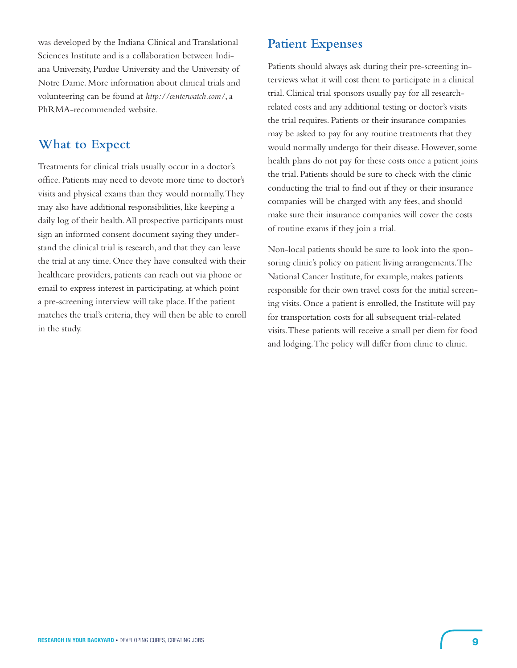was developed by the Indiana Clinical and Translational Sciences Institute and is a collaboration between Indiana University, Purdue University and the University of Notre Dame. More information about clinical trials and volunteering can be found at *http://centerwatch.com/*,a PhRMA-recommended website.

# **What to Expect**

Treatments for clinical trials usually occur in a doctor's office. Patients may need to devote more time to doctor's visits and physical exams than they would normally.They may also have additional responsibilities, like keeping a daily log of their health.All prospective participants must sign an informed consent document saying they understand the clinical trial is research, and that they can leave the trial at any time. Once they have consulted with their healthcare providers, patients can reach out via phone or email to express interest in participating, at which point a pre-screening interview will take place. If the patient matches the trial's criteria, they will then be able to enroll in the study.

# **Patient Expenses**

Patients should always ask during their pre-screening interviews what it will cost them to participate in a clinical trial. Clinical trial sponsors usually pay for all researchrelated costs and any additional testing or doctor's visits the trial requires. Patients or their insurance companies may be asked to pay for any routine treatments that they would normally undergo for their disease. However, some health plans do not pay for these costs once a patient joins the trial. Patients should be sure to check with the clinic conducting the trial to find out if they or their insurance companies will be charged with any fees, and should make sure their insurance companies will cover the costs of routine exams if they join a trial.

Non-local patients should be sure to look into the sponsoring clinic's policy on patient living arrangements.The National Cancer Institute, for example, makes patients responsible for their own travel costs for the initial screening visits. Once a patient is enrolled, the Institute will pay for transportation costs for all subsequent trial-related visits.These patients will receive a small per diem for food and lodging.The policy will differ from clinic to clinic.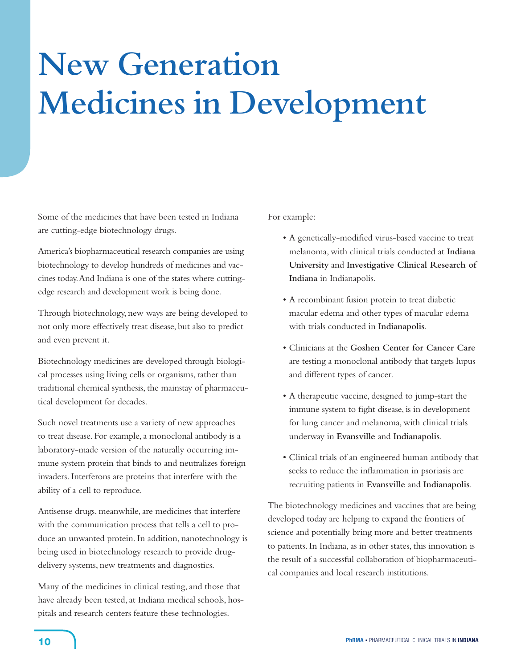# **New Generation Medicines in Development**

Some of the medicines that have been tested in Indiana are cutting-edge biotechnology drugs.

America's biopharmaceutical research companies are using biotechnology to develop hundreds of medicines and vaccines today.And Indiana is one of the states where cuttingedge research and development work is being done.

Through biotechnology, new ways are being developed to not only more effectively treat disease, but also to predict and even prevent it.

Biotechnology medicines are developed through biological processes using living cells or organisms, rather than traditional chemical synthesis, the mainstay of pharmaceutical development for decades.

Such novel treatments use a variety of new approaches to treat disease. For example, a monoclonal antibody is a laboratory-made version of the naturally occurring immune system protein that binds to and neutralizes foreign invaders. Interferons are proteins that interfere with the ability of a cell to reproduce.

Antisense drugs, meanwhile, are medicines that interfere with the communication process that tells a cell to produce an unwanted protein. In addition, nanotechnology is being used in biotechnology research to provide drugdelivery systems, new treatments and diagnostics.

Many of the medicines in clinical testing, and those that have already been tested, at Indiana medical schools, hospitals and research centers feature these technologies.

For example:

- A genetically-modified virus-based vaccine to treat melanoma, with clinical trials conducted at **Indiana University** and **Investigative Clinical Research of Indiana** in Indianapolis.
- • A recombinant fusion protein to treat diabetic macular edema and other types of macular edema with trials conducted in **Indianapolis**.
- • Clinicians at the **Goshen Center for Cancer Care** are testing a monoclonal antibody that targets lupus and different types of cancer.
- • A therapeutic vaccine, designed to jump-start the immune system to fight disease, is in development for lung cancer and melanoma, with clinical trials underway in **Evansville** and **Indianapolis**.
- • Clinical trials of an engineered human antibody that seeks to reduce the inflammation in psoriasis are recruiting patients in **Evansville** and **Indianapolis**.

The biotechnology medicines and vaccines that are being developed today are helping to expand the frontiers of science and potentially bring more and better treatments to patients. In Indiana, as in other states, this innovation is the result of a successful collaboration of biopharmaceutical companies and local research institutions.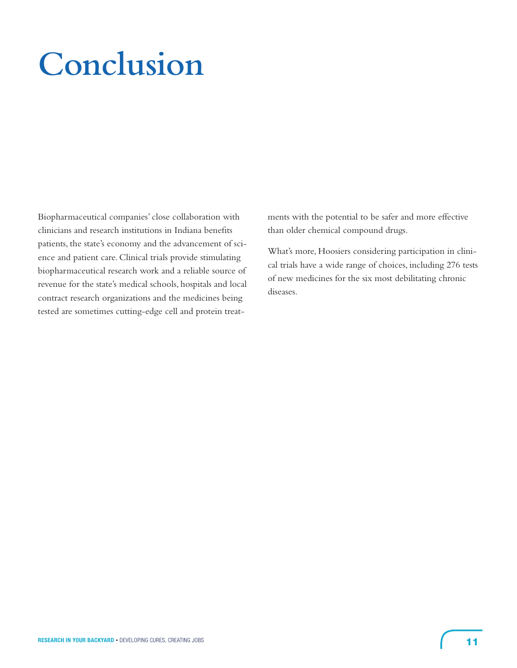# **Conclusion**

Biopharmaceutical companies' close collaboration with clinicians and research institutions in Indiana benefits patients, the state's economy and the advancement of science and patient care. Clinical trials provide stimulating biopharmaceutical research work and a reliable source of revenue for the state's medical schools, hospitals and local contract research organizations and the medicines being tested are sometimes cutting-edge cell and protein treatments with the potential to be safer and more effective than older chemical compound drugs.

What's more, Hoosiers considering participation in clinical trials have a wide range of choices, including 276 tests of new medicines for the six most debilitating chronic diseases.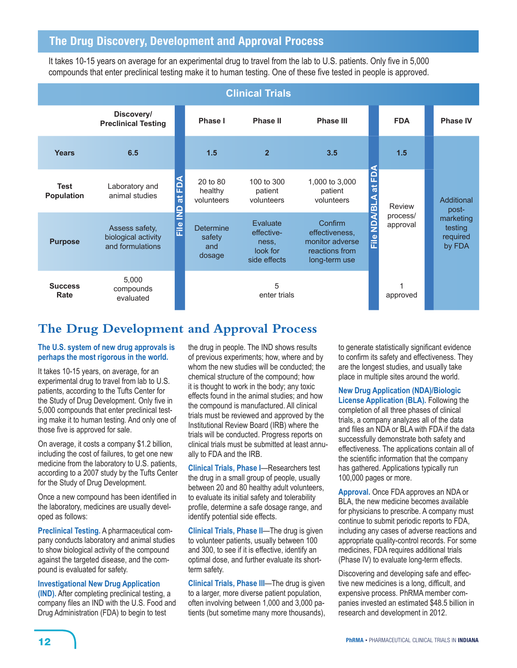# **The Drug Discovery, Development and Approval Process**

It takes 10-15 years on average for an experimental drug to travel from the lab to U.S. patients. Only five in 5,000 compounds that enter preclinical testing make it to human testing. One of these five tested in people is approved.

| <b>Clinical Trials</b>           |                                                           |                                            |                                             |                                                             |                                                                                 |                                                     |                      |                                            |
|----------------------------------|-----------------------------------------------------------|--------------------------------------------|---------------------------------------------|-------------------------------------------------------------|---------------------------------------------------------------------------------|-----------------------------------------------------|----------------------|--------------------------------------------|
|                                  | Discovery/<br><b>Preclinical Testing</b>                  |                                            | Phase I                                     | Phase II                                                    | <b>Phase III</b>                                                                |                                                     | <b>FDA</b>           | <b>Phase IV</b>                            |
| <b>Years</b>                     | 6.5                                                       |                                            | 1.5                                         | $\overline{2}$                                              | 3.5                                                                             |                                                     | 1.5                  |                                            |
| <b>Test</b><br><b>Population</b> | Laboratory and<br>animal studies                          | n<br>⊟<br>$ \vec{a} $                      | 20 to 80<br>healthy<br>volunteers           | 100 to 300<br>patient<br>volunteers                         | 1,000 to 3,000<br>patient<br>volunteers                                         | 윤<br>$\vec{a}$                                      | Review               | Additional<br>post-                        |
| <b>Purpose</b>                   | Assess safety,<br>biological activity<br>and formulations | $\frac{1}{2}$<br>$\frac{1}{\overline{11}}$ | <b>Determine</b><br>safety<br>and<br>dosage | Evaluate<br>effective-<br>ness.<br>look for<br>side effects | Confirm<br>effectiveness.<br>monitor adverse<br>reactions from<br>long-term use | $\overline{\mathsf{S}}$<br>$\frac{e}{\overline{L}}$ | process/<br>approval | marketing<br>testing<br>required<br>by FDA |
| <b>Success</b><br>Rate           | 5,000<br>compounds<br>evaluated                           |                                            |                                             | 5<br>enter trials                                           |                                                                                 |                                                     | approved             |                                            |

# **The Drug Development and Approval Process**

# **The U.S. system of new drug approvals is perhaps the most rigorous in the world.**

It takes 10-15 years, on average, for an experimental drug to travel from lab to U.S. patients, according to the Tufts Center for the Study of Drug Development. Only five in 5,000 compounds that enter preclinical testing make it to human testing. And only one of those five is approved for sale.

On average, it costs a company \$1.2 billion, including the cost of failures, to get one new medicine from the laboratory to U.S. patients, according to a 2007 study by the Tufts Center for the Study of Drug Development.

Once a new compound has been identified in the laboratory, medicines are usually developed as follows:

**Preclinical Testing.** A pharmaceutical company conducts laboratory and animal studies to show biological activity of the compound against the targeted disease, and the compound is evaluated for safety.

**Investigational New Drug Application (IND).** After completing preclinical testing, a company files an IND with the U.S. Food and Drug Administration (FDA) to begin to test

the drug in people. The IND shows results of previous experiments; how, where and by whom the new studies will be conducted; the chemical structure of the compound; how it is thought to work in the body; any toxic effects found in the animal studies; and how the compound is manufactured. All clinical trials must be reviewed and approved by the Institutional Review Board (IRB) where the trials will be conducted. Progress reports on clinical trials must be submitted at least annually to FDA and the IRB.

**Clinical Trials, Phase I**—Researchers test the drug in a small group of people, usually between 20 and 80 healthy adult volunteers, to evaluate its initial safety and tolerability profile, determine a safe dosage range, and identify potential side effects.

**Clinical Trials, Phase II**—The drug is given to volunteer patients, usually between 100 and 300, to see if it is effective, identify an optimal dose, and further evaluate its shortterm safety.

**Clinical Trials, Phase III**—The drug is given to a larger, more diverse patient population, often involving between 1,000 and 3,000 patients (but sometime many more thousands), to generate statistically significant evidence to confirm its safety and effectiveness. They are the longest studies, and usually take place in multiple sites around the world.

# **New Drug Application (NDA)/Biologic**

**License Application (BLA).** Following the completion of all three phases of clinical trials, a company analyzes all of the data and files an NDA or BLA with FDA if the data successfully demonstrate both safety and effectiveness. The applications contain all of the scientific information that the company has gathered. Applications typically run 100,000 pages or more.

**Approval.** Once FDA approves an NDA or BLA, the new medicine becomes available for physicians to prescribe. A company must continue to submit periodic reports to FDA, including any cases of adverse reactions and appropriate quality-control records. For some medicines, FDA requires additional trials (Phase IV) to evaluate long-term effects.

Discovering and developing safe and effective new medicines is a long, difficult, and expensive process. PhRMA member companies invested an estimated \$48.5 billion in research and development in 2012.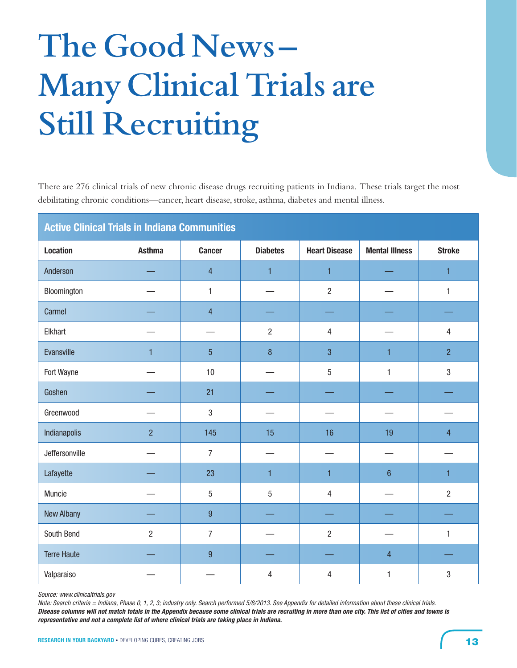# **The Good News – Many Clinical Trials are Still Recruiting**

There are 276 clinical trials of new chronic disease drugs recruiting patients in Indiana. These trials target the most debilitating chronic conditions—cancer, heart disease, stroke, asthma, diabetes and mental illness.

| <b>Active Clinical Trials in Indiana Communities</b> |                |                  |                 |                      |                       |                |  |  |
|------------------------------------------------------|----------------|------------------|-----------------|----------------------|-----------------------|----------------|--|--|
| <b>Location</b>                                      | <b>Asthma</b>  | <b>Cancer</b>    | <b>Diabetes</b> | <b>Heart Disease</b> | <b>Mental Illness</b> | <b>Stroke</b>  |  |  |
| Anderson                                             |                | $\overline{4}$   | $\mathbf{1}$    | $\mathbf{1}$         |                       | 1              |  |  |
| Bloomington                                          |                | $\mathbf{1}$     |                 | $\overline{2}$       |                       | $\mathbf{1}$   |  |  |
| Carmel                                               |                | $\overline{4}$   |                 |                      |                       |                |  |  |
| Elkhart                                              |                |                  | $\overline{2}$  | $\overline{4}$       |                       | 4              |  |  |
| Evansville                                           | 1              | $\overline{5}$   | 8               | 3                    | 1                     | $\overline{2}$ |  |  |
| Fort Wayne                                           |                | 10               |                 | $\overline{5}$       | 1                     | $\sqrt{3}$     |  |  |
| Goshen                                               |                | 21               |                 |                      |                       |                |  |  |
| Greenwood                                            |                | $\sqrt{3}$       |                 |                      |                       |                |  |  |
| Indianapolis                                         | $\overline{2}$ | 145              | 15              | 16                   | 19                    | $\overline{4}$ |  |  |
| Jeffersonville                                       |                | $\overline{7}$   |                 |                      |                       |                |  |  |
| Lafayette                                            |                | 23               | $\mathbf{1}$    | $\mathbf{1}$         | $6\phantom{1}$        | 1              |  |  |
| Muncie                                               |                | 5                | 5               | $\overline{4}$       |                       | $\overline{2}$ |  |  |
| <b>New Albany</b>                                    |                | 9                |                 |                      |                       |                |  |  |
| South Bend                                           | $\overline{2}$ | $\overline{7}$   |                 | $\overline{2}$       |                       | $\mathbf{1}$   |  |  |
| <b>Terre Haute</b>                                   |                | $\boldsymbol{9}$ |                 |                      | $\overline{4}$        |                |  |  |
| Valparaiso                                           |                |                  | 4               | 4                    | 1                     | 3              |  |  |

*Source: www.clinicaltrials.gov*

*Note: Search criteria = Indiana, Phase 0, 1, 2, 3; industry only. Search performed 5/8/2013. See Appendix for detailed information about these clinical trials. Disease columns will not match totals in the Appendix because some clinical trials are recruiting in more than one city. This list of cities and towns is representative and not a complete list of where clinical trials are taking place in Indiana.*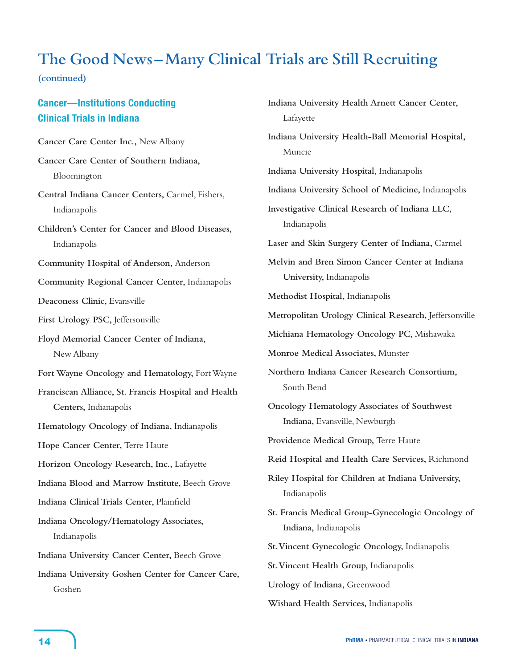# **The Good News – Many Clinical Trials are Still Recruiting**

**(continued)**

# **Cancer—Institutions Conducting Clinical Trials in Indiana**

**Cancer Care Center Inc.,** New Albany **Cancer Care Center of Southern Indiana,** Bloomington **Central Indiana Cancer Centers,** Carmel, Fishers, Indianapolis **Children's Center for Cancer and Blood Diseases,** Indianapolis **Community Hospital of Anderson,** Anderson **Community Regional Cancer Center,** Indianapolis **Deaconess Clinic,** Evansville **First Urology PSC,** Jeffersonville **Floyd Memorial Cancer Center of Indiana,** New Albany Fort Wayne Oncology and Hematology, Fort Wayne **Franciscan Alliance, St. Francis Hospital and Health Centers,** Indianapolis **Hematology Oncology of Indiana,** Indianapolis **Hope Cancer Center,** Terre Haute **Horizon Oncology Research, Inc.,** Lafayette **Indiana Blood and Marrow Institute,** Beech Grove **Indiana Clinical Trials Center,** Plainfield **Indiana Oncology/Hematology Associates,** Indianapolis **Indiana University Cancer Center,** Beech Grove **Indiana University Goshen Center for Cancer Care,** Goshen

**Indiana University Health Arnett Cancer Center,** Lafayette **Indiana University Health-Ball Memorial Hospital,** Muncie **Indiana University Hospital,** Indianapolis **Indiana University School of Medicine,** Indianapolis **Investigative Clinical Research of Indiana LLC,** Indianapolis **Laser and Skin Surgery Center of Indiana,** Carmel **Melvin and Bren Simon Cancer Center at Indiana University,** Indianapolis **Methodist Hospital,** Indianapolis **Metropolitan Urology Clinical Research,** Jeffersonville **Michiana Hematology Oncology PC,** Mishawaka **Monroe Medical Associates,** Munster **Northern Indiana Cancer Research Consortium,** South Bend **Oncology Hematology Associates of Southwest Indiana,** Evansville, Newburgh **Providence Medical Group,** Terre Haute **Reid Hospital and Health Care Services,** Richmond **Riley Hospital for Children at Indiana University,** Indianapolis **St. Francis Medical Group-Gynecologic Oncology of Indiana,** Indianapolis **St. Vincent Gynecologic Oncology,** Indianapolis **St. Vincent Health Group,** Indianapolis **Urology of Indiana,** Greenwood **Wishard Health Services,** Indianapolis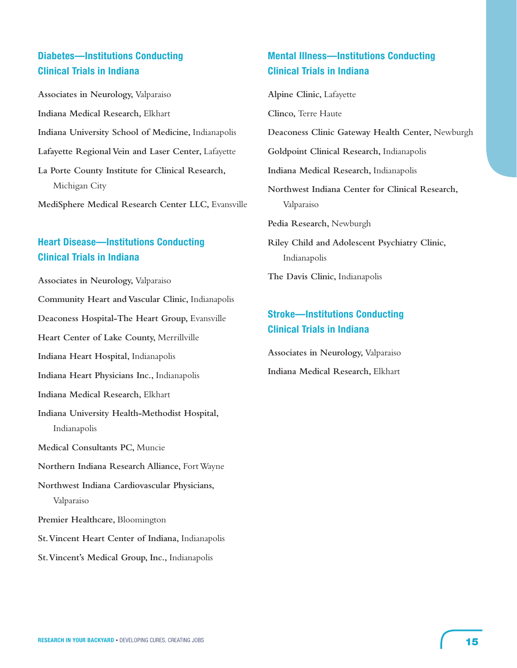# **Diabetes—Institutions Conducting Clinical Trials in Indiana**

**Associates in Neurology,** Valparaiso **Indiana Medical Research,** Elkhart **Indiana University School of Medicine,** Indianapolis **Lafayette Regional Vein and Laser Center,** Lafayette **La Porte County Institute for Clinical Research,** Michigan City

**MediSphere Medical Research Center LLC,** Evansville

# **Heart Disease—Institutions Conducting Clinical Trials in Indiana**

**Associates in Neurology,** Valparaiso

**Community Heart and Vascular Clinic,** Indianapolis

Deaconess Hospital-The Heart Group, Evansville

**Heart Center of Lake County,** Merrillville

**Indiana Heart Hospital,** Indianapolis

**Indiana Heart Physicians Inc.,** Indianapolis

- **Indiana Medical Research,** Elkhart
- **Indiana University Health-Methodist Hospital,** Indianapolis

**Medical Consultants PC,** Muncie

**Northern Indiana Research Alliance,** FortWayne

**Northwest Indiana Cardiovascular Physicians,** Valparaiso

- **Premier Healthcare,** Bloomington
- **St. Vincent Heart Center of Indiana,** Indianapolis
- **St. Vincent's Medical Group, Inc.,** Indianapolis

# **Mental Illness—Institutions Conducting Clinical Trials in Indiana**

**Alpine Clinic,** Lafayette

**Clinco,** Terre Haute

**Deaconess Clinic Gateway Health Center,** Newburgh

**Goldpoint Clinical Research,** Indianapolis

**Indiana Medical Research,** Indianapolis

**Northwest Indiana Center for Clinical Research,** Valparaiso

**Pedia Research,** Newburgh

**Riley Child and Adolescent Psychiatry Clinic,** Indianapolis

**The Davis Clinic,** Indianapolis

# **Stroke—Institutions Conducting Clinical Trials in Indiana**

**Associates in Neurology,** Valparaiso **Indiana Medical Research,** Elkhart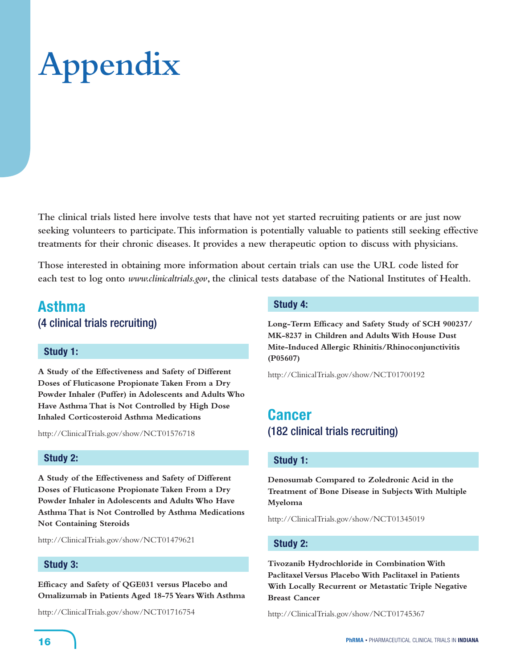# **Appendix**

**The clinical trials listed here involve tests that have not yet started recruiting patients or are just now seeking volunteers to participate. This information is potentially valuable to patients still seeking effective treatments for their chronic diseases. It provides a new therapeutic option to discuss with physicians.** 

**Those interested in obtaining more information about certain trials can use the URL code listed for each test to log onto** *www.clinicaltrials.gov***, the clinical tests database of the National Institutes of Health.** 

# **Asthma**  (4 clinical trials recruiting)

# **Study 1:**

**A Study of the Effectiveness and Safety of Different Doses of Fluticasone Propionate Taken From a Dry Powder Inhaler (Puffer) in Adolescents and Adults Who Have Asthma That is Not Controlled by High Dose Inhaled Corticosteroid Asthma Medications**

http://ClinicalTrials.gov/show/NCT01576718

# **Study 2:**

**A Study of the Effectiveness and Safety of Different Doses of Fluticasone Propionate Taken From a Dry Powder Inhaler in Adolescents and Adults Who Have Asthma That is Not Controlled by Asthma Medications Not Containing Steroids** 

http://ClinicalTrials.gov/show/NCT01479621

# **Study 3:**

**Efficacy and Safety of QGE031 versus Placebo and Omalizumab in Patients Aged 18-75 Years With Asthma**

http://ClinicalTrials.gov/show/NCT01716754

#### **Study 4:**

**Long-Term Efficacy and Safety Study of SCH 900237/ MK-8237 in Children and Adults With House Dust Mite-Induced Allergic Rhinitis/Rhinoconjunctivitis (P05607)**

http://ClinicalTrials.gov/show/NCT01700192

# **Cancer** (182 clinical trials recruiting)

# **Study 1:**

**Denosumab Compared to Zoledronic Acid in the Treatment of Bone Disease in Subjects With Multiple Myeloma**

http://ClinicalTrials.gov/show/NCT01345019

# **Study 2:**

**Tivozanib Hydrochloride in Combination With Paclitaxel Versus Placebo With Paclitaxel in Patients With Locally Recurrent or Metastatic Triple Negative Breast Cancer**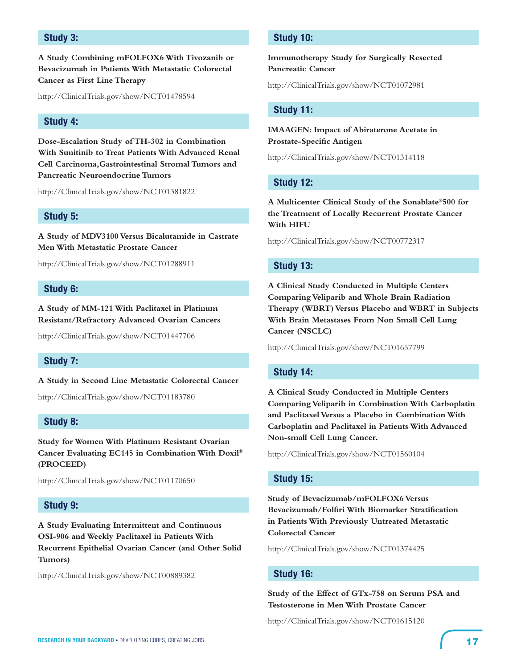# **Study 3:**

**A Study Combining mFOLFOX6 With Tivozanib or Bevacizumab in Patients With Metastatic Colorectal Cancer as First Line Therapy**

http://ClinicalTrials.gov/show/NCT01478594

## **Study 4:**

**Dose-Escalation Study of TH-302 in Combination With Sunitinib to Treat Patients With Advanced Renal Cell Carcinoma,Gastrointestinal Stromal Tumors and Pancreatic Neuroendocrine Tumors**

http://ClinicalTrials.gov/show/NCT01381822

## **Study 5:**

**A Study of MDV3100 Versus Bicalutamide in Castrate Men With Metastatic Prostate Cancer**

http://ClinicalTrials.gov/show/NCT01288911

#### **Study 6:**

**A Study of MM-121 With Paclitaxel in Platinum Resistant/Refractory Advanced Ovarian Cancers**

http://ClinicalTrials.gov/show/NCT01447706

#### **Study 7:**

**A Study in Second Line Metastatic Colorectal Cancer**

http://ClinicalTrials.gov/show/NCT01183780

# **Study 8:**

**Study for Women With Platinum Resistant Ovarian Cancer Evaluating EC145 in Combination With Doxil® (PROCEED)**

http://ClinicalTrials.gov/show/NCT01170650

# **Study 9:**

**A Study Evaluating Intermittent and Continuous OSI-906 and Weekly Paclitaxel in Patients With Recurrent Epithelial Ovarian Cancer (and Other Solid Tumors)**

http://ClinicalTrials.gov/show/NCT00889382

# **Study 10:**

**Immunotherapy Study for Surgically Resected Pancreatic Cancer**

http://ClinicalTrials.gov/show/NCT01072981

#### **Study 11:**

**IMAAGEN: Impact of Abiraterone Acetate in Prostate-Specific Antigen**

http://ClinicalTrials.gov/show/NCT01314118

#### **Study 12:**

**A Multicenter Clinical Study of the Sonablate®500 for the Treatment of Locally Recurrent Prostate Cancer With HIFU**

http://ClinicalTrials.gov/show/NCT00772317

#### **Study 13:**

**A Clinical Study Conducted in Multiple Centers Comparing Veliparib and Whole Brain Radiation Therapy (WBRT) Versus Placebo and WBRT in Subjects With Brain Metastases From Non Small Cell Lung Cancer (NSCLC)**

http://ClinicalTrials.gov/show/NCT01657799

# **Study 14:**

**A Clinical Study Conducted in Multiple Centers Comparing Veliparib in Combination With Carboplatin and Paclitaxel Versus a Placebo in Combination With Carboplatin and Paclitaxel in Patients With Advanced Non-small Cell Lung Cancer.**

http://ClinicalTrials.gov/show/NCT01560104

#### **Study 15:**

**Study of Bevacizumab/mFOLFOX6 Versus Bevacizumab/Folfiri With Biomarker Stratification in Patients With Previously Untreated Metastatic Colorectal Cancer**

http://ClinicalTrials.gov/show/NCT01374425

#### **Study 16:**

**Study of the Effect of GTx-758 on Serum PSA and Testosterone in Men With Prostate Cancer**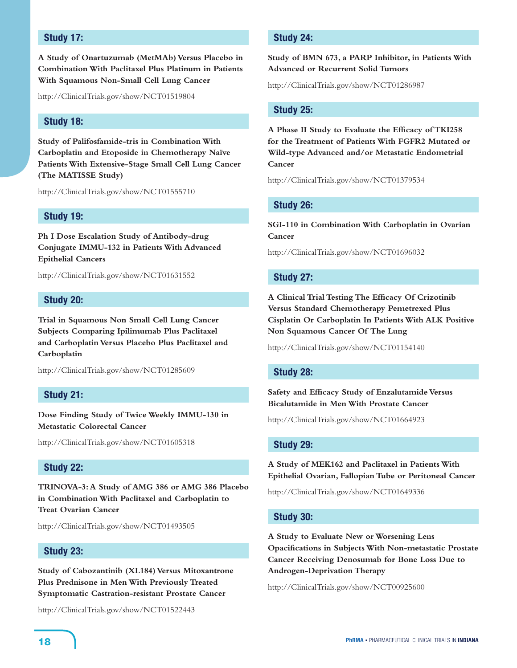# **Study 17:**

**A Study of Onartuzumab (MetMAb) Versus Placebo in Combination With Paclitaxel Plus Platinum in Patients With Squamous Non-Small Cell Lung Cancer**

http://ClinicalTrials.gov/show/NCT01519804

# **Study 18:**

**Study of Palifosfamide-tris in Combination With Carboplatin and Etoposide in Chemotherapy Naïve Patients With Extensive-Stage Small Cell Lung Cancer (The MATISSE Study)**

http://ClinicalTrials.gov/show/NCT01555710

## **Study 19:**

**Ph I Dose Escalation Study of Antibody-drug Conjugate IMMU-132 in Patients With Advanced Epithelial Cancers**

http://ClinicalTrials.gov/show/NCT01631552

#### **Study 20:**

**Trial in Squamous Non Small Cell Lung Cancer Subjects Comparing Ipilimumab Plus Paclitaxel and Carboplatin Versus Placebo Plus Paclitaxel and Carboplatin**

http://ClinicalTrials.gov/show/NCT01285609

#### **Study 21:**

**Dose Finding Study of Twice Weekly IMMU-130 in Metastatic Colorectal Cancer**

http://ClinicalTrials.gov/show/NCT01605318

#### **Study 22:**

**TRINOVA-3: A Study of AMG 386 or AMG 386 Placebo in Combination With Paclitaxel and Carboplatin to Treat Ovarian Cancer**

http://ClinicalTrials.gov/show/NCT01493505

# **Study 23:**

**Study of Cabozantinib (XL184) Versus Mitoxantrone Plus Prednisone in Men With Previously Treated Symptomatic Castration-resistant Prostate Cancer**

http://ClinicalTrials.gov/show/NCT01522443

# **Study 24:**

**Study of BMN 673, a PARP Inhibitor, in Patients With Advanced or Recurrent Solid Tumors**

http://ClinicalTrials.gov/show/NCT01286987

#### **Study 25:**

**A Phase II Study to Evaluate the Efficacy of TKI258 for the Treatment of Patients With FGFR2 Mutated or Wild-type Advanced and/or Metastatic Endometrial Cancer**

http://ClinicalTrials.gov/show/NCT01379534

#### **Study 26:**

**SGI-110 in Combination With Carboplatin in Ovarian Cancer**

http://ClinicalTrials.gov/show/NCT01696032

#### **Study 27:**

**A Clinical Trial Testing The Efficacy Of Crizotinib Versus Standard Chemotherapy Pemetrexed Plus Cisplatin Or Carboplatin In Patients With ALK Positive Non Squamous Cancer Of The Lung**

http://ClinicalTrials.gov/show/NCT01154140

#### **Study 28:**

**Safety and Efficacy Study of Enzalutamide Versus Bicalutamide in Men With Prostate Cancer**

http://ClinicalTrials.gov/show/NCT01664923

#### **Study 29:**

**A Study of MEK162 and Paclitaxel in Patients With Epithelial Ovarian, Fallopian Tube or Peritoneal Cancer**

http://ClinicalTrials.gov/show/NCT01649336

#### **Study 30:**

**A Study to Evaluate New or Worsening Lens Opacifications in Subjects With Non-metastatic Prostate Cancer Receiving Denosumab for Bone Loss Due to Androgen-Deprivation Therapy**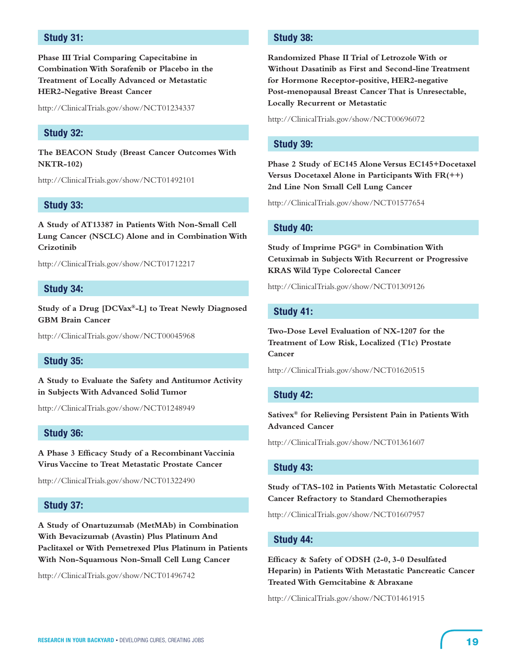# **Study 31:**

**Phase III Trial Comparing Capecitabine in Combination With Sorafenib or Placebo in the Treatment of Locally Advanced or Metastatic HER2-Negative Breast Cancer**

http://ClinicalTrials.gov/show/NCT01234337

# **Study 32:**

**The BEACON Study (Breast Cancer Outcomes With NKTR-102)**

http://ClinicalTrials.gov/show/NCT01492101

### **Study 33:**

**A Study of AT13387 in Patients With Non-Small Cell Lung Cancer (NSCLC) Alone and in Combination With Crizotinib**

http://ClinicalTrials.gov/show/NCT01712217

#### **Study 34:**

**Study of a Drug [DCVax®-L] to Treat Newly Diagnosed GBM Brain Cancer**

http://ClinicalTrials.gov/show/NCT00045968

#### **Study 35:**

**A Study to Evaluate the Safety and Antitumor Activity in Subjects With Advanced Solid Tumor**

http://ClinicalTrials.gov/show/NCT01248949

#### **Study 36:**

**A Phase 3 Efficacy Study of a Recombinant Vaccinia Virus Vaccine to Treat Metastatic Prostate Cancer**

http://ClinicalTrials.gov/show/NCT01322490

# **Study 37:**

**A Study of Onartuzumab (MetMAb) in Combination With Bevacizumab (Avastin) Plus Platinum And Paclitaxel or With Pemetrexed Plus Platinum in Patients With Non-Squamous Non-Small Cell Lung Cancer**

http://ClinicalTrials.gov/show/NCT01496742

# **Study 38:**

**Randomized Phase II Trial of Letrozole With or Without Dasatinib as First and Second-line Treatment for Hormone Receptor-positive, HER2-negative Post-menopausal Breast Cancer That is Unresectable, Locally Recurrent or Metastatic**

http://ClinicalTrials.gov/show/NCT00696072

# **Study 39:**

**Phase 2 Study of EC145 Alone Versus EC145+Docetaxel Versus Docetaxel Alone in Participants With FR(++) 2nd Line Non Small Cell Lung Cancer**

http://ClinicalTrials.gov/show/NCT01577654

#### **Study 40:**

**Study of Imprime PGG® in Combination With Cetuximab in Subjects With Recurrent or Progressive KRAS Wild Type Colorectal Cancer**

http://ClinicalTrials.gov/show/NCT01309126

#### **Study 41:**

**Two-Dose Level Evaluation of NX-1207 for the Treatment of Low Risk, Localized (T1c) Prostate Cancer**

http://ClinicalTrials.gov/show/NCT01620515

# **Study 42:**

**Sativex® for Relieving Persistent Pain in Patients With Advanced Cancer**

http://ClinicalTrials.gov/show/NCT01361607

#### **Study 43:**

**Study of TAS-102 in Patients With Metastatic Colorectal Cancer Refractory to Standard Chemotherapies**

http://ClinicalTrials.gov/show/NCT01607957

# **Study 44:**

**Efficacy & Safety of ODSH (2-0, 3-0 Desulfated Heparin) in Patients With Metastatic Pancreatic Cancer Treated With Gemcitabine & Abraxane**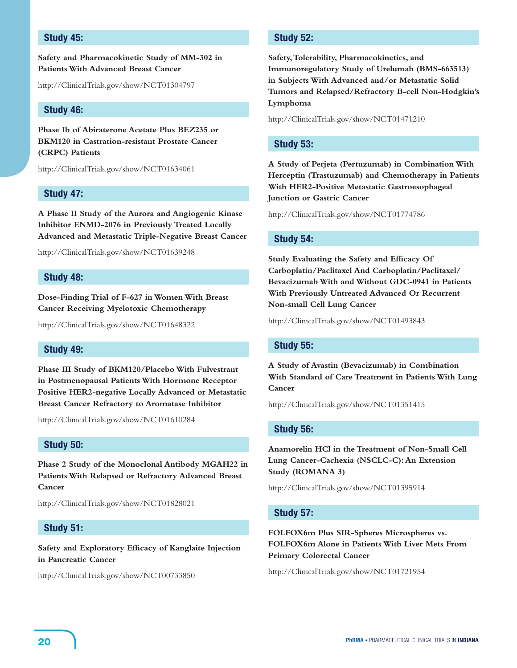# **Study 45:**

**Safety and Pharmacokinetic Study of MM-302 in Patients With Advanced Breast Cancer**

http://ClinicalTrials.gov/show/NCT01304797

#### **Study 46:**

**Phase Ib of Abiraterone Acetate Plus BEZ235 or BKM120 in Castration-resistant Prostate Cancer (CRPC) Patients**

http://ClinicalTrials.gov/show/NCT01634061

#### **Study 47:**

**A Phase II Study of the Aurora and Angiogenic Kinase Inhibitor ENMD-2076 in Previously Treated Locally Advanced and Metastatic Triple-Negative Breast Cancer**

http://ClinicalTrials.gov/show/NCT01639248

#### **Study 48:**

**Dose-Finding Trial of F-627 in Women With Breast Cancer Receiving Myelotoxic Chemotherapy**

http://ClinicalTrials.gov/show/NCT01648322

#### **Study 49:**

**Phase III Study of BKM120/Placebo With Fulvestrant in Postmenopausal Patients With Hormone Receptor Positive HER2-negative Locally Advanced or Metastatic Breast Cancer Refractory to Aromatase Inhibitor**

http://ClinicalTrials.gov/show/NCT01610284

# **Study 50:**

**Phase 2 Study of the Monoclonal Antibody MGAH22 in Patients With Relapsed or Refractory Advanced Breast Cancer**

http://ClinicalTrials.gov/show/NCT01828021

#### **Study 51:**

**Safety and Exploratory Efficacy of Kanglaite Injection in Pancreatic Cancer**

http://ClinicalTrials.gov/show/NCT00733850

# **Study 52:**

**Safety, Tolerability, Pharmacokinetics, and Immunoregulatory Study of Urelumab (BMS-663513) in Subjects With Advanced and/or Metastatic Solid Tumors and Relapsed/Refractory B-cell Non-Hodgkin's Lymphoma**

http://ClinicalTrials.gov/show/NCT01471210

#### **Study 53:**

**A Study of Perjeta (Pertuzumab) in Combination With Herceptin (Trastuzumab) and Chemotherapy in Patients With HER2-Positive Metastatic Gastroesophageal Junction or Gastric Cancer**

http://ClinicalTrials.gov/show/NCT01774786

#### **Study 54:**

**Study Evaluating the Safety and Efficacy Of Carboplatin/Paclitaxel And Carboplatin/Paclitaxel/ Bevacizumab With and Without GDC-0941 in Patients With Previously Untreated Advanced Or Recurrent Non-small Cell Lung Cancer**

http://ClinicalTrials.gov/show/NCT01493843

#### **Study 55:**

**A Study of Avastin (Bevacizumab) in Combination With Standard of Care Treatment in Patients With Lung Cancer**

http://ClinicalTrials.gov/show/NCT01351415

#### **Study 56:**

**Anamorelin HCl in the Treatment of Non-Small Cell Lung Cancer-Cachexia (NSCLC-C): An Extension Study (ROMANA 3)**

http://ClinicalTrials.gov/show/NCT01395914

#### **Study 57:**

**FOLFOX6m Plus SIR-Spheres Microspheres vs. FOLFOX6m Alone in Patients With Liver Mets From Primary Colorectal Cancer**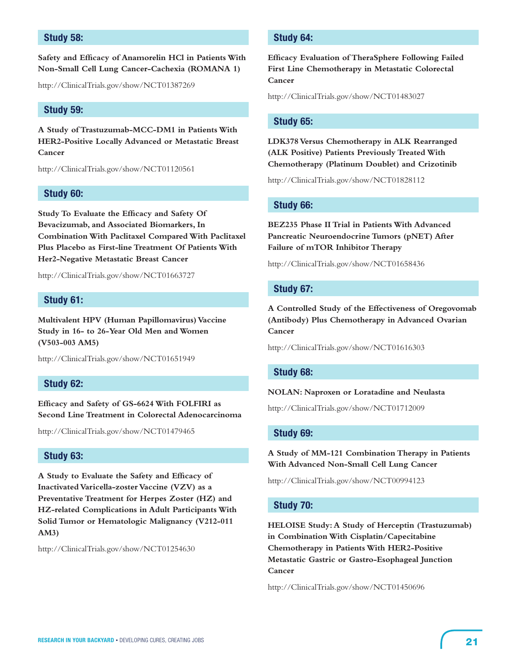# **Study 58:**

**Safety and Efficacy of Anamorelin HCl in Patients With Non-Small Cell Lung Cancer-Cachexia (ROMANA 1)**

http://ClinicalTrials.gov/show/NCT01387269

#### **Study 59:**

**A Study of Trastuzumab-MCC-DM1 in Patients With HER2-Positive Locally Advanced or Metastatic Breast Cancer**

http://ClinicalTrials.gov/show/NCT01120561

#### **Study 60:**

**Study To Evaluate the Efficacy and Safety Of Bevacizumab, and Associated Biomarkers, In Combination With Paclitaxel Compared With Paclitaxel Plus Placebo as First-line Treatment Of Patients With Her2-Negative Metastatic Breast Cancer**

http://ClinicalTrials.gov/show/NCT01663727

#### **Study 61:**

**Multivalent HPV (Human Papillomavirus) Vaccine Study in 16- to 26-Year Old Men and Women (V503-003 AM5)**

http://ClinicalTrials.gov/show/NCT01651949

#### **Study 62:**

**Efficacy and Safety of GS-6624 With FOLFIRI as Second Line Treatment in Colorectal Adenocarcinoma**

http://ClinicalTrials.gov/show/NCT01479465

# **Study 63:**

**A Study to Evaluate the Safety and Efficacy of Inactivated Varicella-zoster Vaccine (VZV) as a Preventative Treatment for Herpes Zoster (HZ) and HZ-related Complications in Adult Participants With Solid Tumor or Hematologic Malignancy (V212-011 AM3)**

http://ClinicalTrials.gov/show/NCT01254630

# **Study 64:**

**Efficacy Evaluation of TheraSphere Following Failed First Line Chemotherapy in Metastatic Colorectal Cancer**

http://ClinicalTrials.gov/show/NCT01483027

#### **Study 65:**

**LDK378 Versus Chemotherapy in ALK Rearranged (ALK Positive) Patients Previously Treated With Chemotherapy (Platinum Doublet) and Crizotinib**

http://ClinicalTrials.gov/show/NCT01828112

#### **Study 66:**

**BEZ235 Phase II Trial in Patients With Advanced Pancreatic Neuroendocrine Tumors (pNET) After Failure of mTOR Inhibitor Therapy**

http://ClinicalTrials.gov/show/NCT01658436

#### **Study 67:**

**A Controlled Study of the Effectiveness of Oregovomab (Antibody) Plus Chemotherapy in Advanced Ovarian Cancer**

http://ClinicalTrials.gov/show/NCT01616303

#### **Study 68:**

#### **NOLAN: Naproxen or Loratadine and Neulasta**

http://ClinicalTrials.gov/show/NCT01712009

#### **Study 69:**

**A Study of MM-121 Combination Therapy in Patients With Advanced Non-Small Cell Lung Cancer**

http://ClinicalTrials.gov/show/NCT00994123

#### **Study 70:**

**HELOISE Study: A Study of Herceptin (Trastuzumab) in Combination With Cisplatin/Capecitabine Chemotherapy in Patients With HER2-Positive Metastatic Gastric or Gastro-Esophageal Junction Cancer**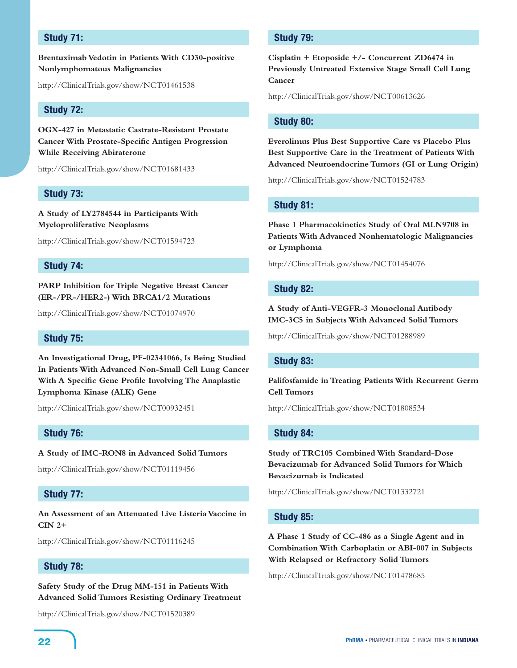# **Study 71:**

**Brentuximab Vedotin in Patients With CD30-positive Nonlymphomatous Malignancies**

http://ClinicalTrials.gov/show/NCT01461538

# **Study 72:**

**OGX-427 in Metastatic Castrate-Resistant Prostate Cancer With Prostate-Specific Antigen Progression While Receiving Abiraterone**

http://ClinicalTrials.gov/show/NCT01681433

#### **Study 73:**

**A Study of LY2784544 in Participants With Myeloproliferative Neoplasms**

http://ClinicalTrials.gov/show/NCT01594723

# **Study 74:**

**PARP Inhibition for Triple Negative Breast Cancer (ER-/PR-/HER2-) With BRCA1/2 Mutations**

http://ClinicalTrials.gov/show/NCT01074970

# **Study 75:**

**An Investigational Drug, PF-02341066, Is Being Studied In Patients With Advanced Non-Small Cell Lung Cancer With A Specific Gene Profile Involving The Anaplastic Lymphoma Kinase (ALK) Gene**

http://ClinicalTrials.gov/show/NCT00932451

#### **Study 76:**

**A Study of IMC-RON8 in Advanced Solid Tumors**

http://ClinicalTrials.gov/show/NCT01119456

#### **Study 77:**

**An Assessment of an Attenuated Live Listeria Vaccine in CIN 2+**

http://ClinicalTrials.gov/show/NCT01116245

# **Study 78:**

**Safety Study of the Drug MM-151 in Patients With Advanced Solid Tumors Resisting Ordinary Treatment**

http://ClinicalTrials.gov/show/NCT01520389

# **Study 79:**

**Cisplatin + Etoposide +/- Concurrent ZD6474 in Previously Untreated Extensive Stage Small Cell Lung Cancer**

http://ClinicalTrials.gov/show/NCT00613626

#### **Study 80:**

**Everolimus Plus Best Supportive Care vs Placebo Plus Best Supportive Care in the Treatment of Patients With Advanced Neuroendocrine Tumors (GI or Lung Origin)**

http://ClinicalTrials.gov/show/NCT01524783

### **Study 81:**

**Phase 1 Pharmacokinetics Study of Oral MLN9708 in Patients With Advanced Nonhematologic Malignancies or Lymphoma**

http://ClinicalTrials.gov/show/NCT01454076

#### **Study 82:**

**A Study of Anti-VEGFR-3 Monoclonal Antibody IMC-3C5 in Subjects With Advanced Solid Tumors**

http://ClinicalTrials.gov/show/NCT01288989

#### **Study 83:**

**Palifosfamide in Treating Patients With Recurrent Germ Cell Tumors**

http://ClinicalTrials.gov/show/NCT01808534

# **Study 84:**

**Study of TRC105 Combined With Standard-Dose Bevacizumab for Advanced Solid Tumors for Which Bevacizumab is Indicated**

http://ClinicalTrials.gov/show/NCT01332721

#### **Study 85:**

**A Phase 1 Study of CC-486 as a Single Agent and in Combination With Carboplatin or ABI-007 in Subjects With Relapsed or Refractory Solid Tumors**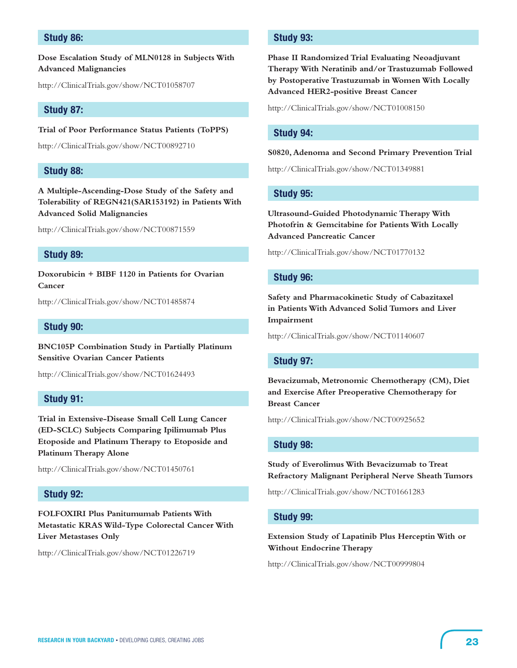# **Study 86:**

**Dose Escalation Study of MLN0128 in Subjects With Advanced Malignancies**

http://ClinicalTrials.gov/show/NCT01058707

#### **Study 87:**

**Trial of Poor Performance Status Patients (ToPPS)**

http://ClinicalTrials.gov/show/NCT00892710

# **Study 88:**

**A Multiple-Ascending-Dose Study of the Safety and Tolerability of REGN421(SAR153192) in Patients With Advanced Solid Malignancies**

http://ClinicalTrials.gov/show/NCT00871559

# **Study 89:**

**Doxorubicin + BIBF 1120 in Patients for Ovarian Cancer**

http://ClinicalTrials.gov/show/NCT01485874

#### **Study 90:**

**BNC105P Combination Study in Partially Platinum Sensitive Ovarian Cancer Patients**

http://ClinicalTrials.gov/show/NCT01624493

# **Study 91:**

**Trial in Extensive-Disease Small Cell Lung Cancer (ED-SCLC) Subjects Comparing Ipilimumab Plus Etoposide and Platinum Therapy to Etoposide and Platinum Therapy Alone**

http://ClinicalTrials.gov/show/NCT01450761

#### **Study 92:**

**FOLFOXIRI Plus Panitumumab Patients With Metastatic KRAS Wild-Type Colorectal Cancer With Liver Metastases Only**

http://ClinicalTrials.gov/show/NCT01226719

# **Study 93:**

**Phase II Randomized Trial Evaluating Neoadjuvant Therapy With Neratinib and/or Trastuzumab Followed by Postoperative Trastuzumab in Women With Locally Advanced HER2-positive Breast Cancer**

http://ClinicalTrials.gov/show/NCT01008150

# **Study 94:**

#### **S0820, Adenoma and Second Primary Prevention Trial**

http://ClinicalTrials.gov/show/NCT01349881

#### **Study 95:**

**Ultrasound-Guided Photodynamic Therapy With Photofrin & Gemcitabine for Patients With Locally Advanced Pancreatic Cancer**

http://ClinicalTrials.gov/show/NCT01770132

#### **Study 96:**

**Safety and Pharmacokinetic Study of Cabazitaxel in Patients With Advanced Solid Tumors and Liver Impairment**

http://ClinicalTrials.gov/show/NCT01140607

#### **Study 97:**

**Bevacizumab, Metronomic Chemotherapy (CM), Diet and Exercise After Preoperative Chemotherapy for Breast Cancer**

http://ClinicalTrials.gov/show/NCT00925652

#### **Study 98:**

**Study of Everolimus With Bevacizumab to Treat Refractory Malignant Peripheral Nerve Sheath Tumors**

http://ClinicalTrials.gov/show/NCT01661283

#### **Study 99:**

**Extension Study of Lapatinib Plus Herceptin With or Without Endocrine Therapy**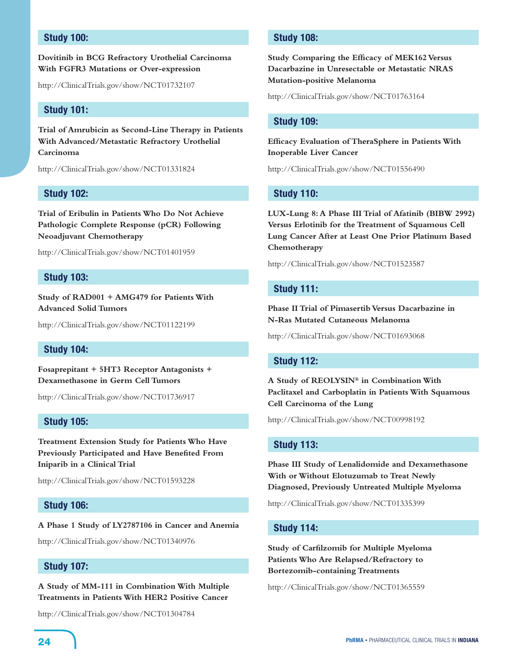# **Study 100:**

# **Dovitinib in BCG Refractory Urothelial Carcinoma With FGFR3 Mutations or Over-expression**

http://ClinicalTrials.gov/show/NCT01732107

## **Study 101:**

**Trial of Amrubicin as Second-Line Therapy in Patients With Advanced/Metastatic Refractory Urothelial Carcinoma**

http://ClinicalTrials.gov/show/NCT01331824

#### **Study 102:**

**Trial of Eribulin in Patients Who Do Not Achieve Pathologic Complete Response (pCR) Following Neoadjuvant Chemotherapy**

http://ClinicalTrials.gov/show/NCT01401959

#### **Study 103:**

**Study of RAD001 + AMG479 for Patients With Advanced Solid Tumors**

http://ClinicalTrials.gov/show/NCT01122199

# **Study 104:**

**Fosaprepitant + 5HT3 Receptor Antagonists + Dexamethasone in Germ Cell Tumors**

http://ClinicalTrials.gov/show/NCT01736917

# **Study 105:**

**Treatment Extension Study for Patients Who Have Previously Participated and Have Benefited From Iniparib in a Clinical Trial**

http://ClinicalTrials.gov/show/NCT01593228

# **Study 106:**

**A Phase 1 Study of LY2787106 in Cancer and Anemia**

http://ClinicalTrials.gov/show/NCT01340976

# **Study 107:**

**A Study of MM-111 in Combination With Multiple Treatments in Patients With HER2 Positive Cancer**

http://ClinicalTrials.gov/show/NCT01304784

# **Study 108:**

**Study Comparing the Efficacy of MEK162 Versus Dacarbazine in Unresectable or Metastatic NRAS Mutation-positive Melanoma**

http://ClinicalTrials.gov/show/NCT01763164

#### **Study 109:**

**Efficacy Evaluation of TheraSphere in Patients With Inoperable Liver Cancer**

http://ClinicalTrials.gov/show/NCT01556490

#### **Study 110:**

**LUX-Lung 8: A Phase III Trial of Afatinib (BIBW 2992) Versus Erlotinib for the Treatment of Squamous Cell Lung Cancer After at Least One Prior Platinum Based Chemotherapy**

http://ClinicalTrials.gov/show/NCT01523587

### **Study 111:**

**Phase II Trial of Pimasertib Versus Dacarbazine in N-Ras Mutated Cutaneous Melanoma**

http://ClinicalTrials.gov/show/NCT01693068

#### **Study 112:**

**A Study of REOLYSIN® in Combination With Paclitaxel and Carboplatin in Patients With Squamous Cell Carcinoma of the Lung**

http://ClinicalTrials.gov/show/NCT00998192

# **Study 113:**

**Phase III Study of Lenalidomide and Dexamethasone With or Without Elotuzumab to Treat Newly Diagnosed, Previously Untreated Multiple Myeloma**

http://ClinicalTrials.gov/show/NCT01335399

#### **Study 114:**

**Study of Carfilzomib for Multiple Myeloma Patients Who Are Relapsed/Refractory to Bortezomib-containing Treatments**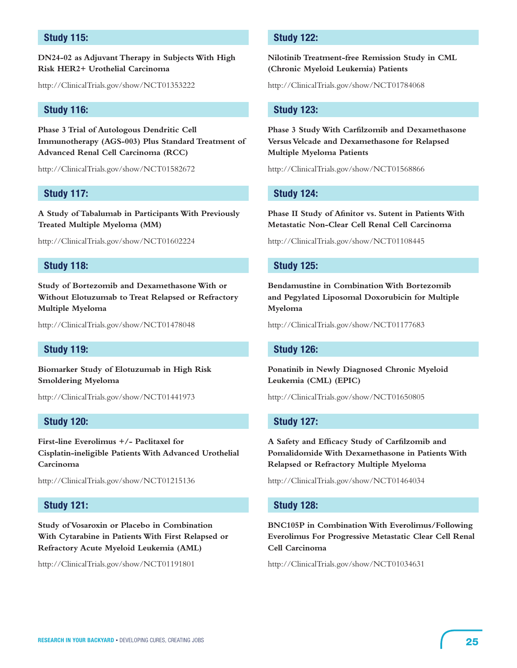# **Study 115:**

**DN24-02 as Adjuvant Therapy in Subjects With High Risk HER2+ Urothelial Carcinoma**

http://ClinicalTrials.gov/show/NCT01353222

#### **Study 116:**

**Phase 3 Trial of Autologous Dendritic Cell Immunotherapy (AGS-003) Plus Standard Treatment of Advanced Renal Cell Carcinoma (RCC)**

http://ClinicalTrials.gov/show/NCT01582672

#### **Study 117:**

**A Study of Tabalumab in Participants With Previously Treated Multiple Myeloma (MM)**

http://ClinicalTrials.gov/show/NCT01602224

# **Study 118:**

**Study of Bortezomib and Dexamethasone With or Without Elotuzumab to Treat Relapsed or Refractory Multiple Myeloma**

http://ClinicalTrials.gov/show/NCT01478048

# **Study 119:**

**Biomarker Study of Elotuzumab in High Risk Smoldering Myeloma**

http://ClinicalTrials.gov/show/NCT01441973

# **Study 120:**

**First-line Everolimus +/- Paclitaxel for Cisplatin-ineligible Patients With Advanced Urothelial Carcinoma**

http://ClinicalTrials.gov/show/NCT01215136

# **Study 121:**

**Study of Vosaroxin or Placebo in Combination With Cytarabine in Patients With First Relapsed or Refractory Acute Myeloid Leukemia (AML)**

http://ClinicalTrials.gov/show/NCT01191801

# **Study 122:**

**Nilotinib Treatment-free Remission Study in CML (Chronic Myeloid Leukemia) Patients**

http://ClinicalTrials.gov/show/NCT01784068

#### **Study 123:**

**Phase 3 Study With Carfilzomib and Dexamethasone Versus Velcade and Dexamethasone for Relapsed Multiple Myeloma Patients**

http://ClinicalTrials.gov/show/NCT01568866

#### **Study 124:**

**Phase II Study of Afinitor vs. Sutent in Patients With Metastatic Non-Clear Cell Renal Cell Carcinoma**

http://ClinicalTrials.gov/show/NCT01108445

#### **Study 125:**

**Bendamustine in Combination With Bortezomib and Pegylated Liposomal Doxorubicin for Multiple Myeloma**

http://ClinicalTrials.gov/show/NCT01177683

#### **Study 126:**

**Ponatinib in Newly Diagnosed Chronic Myeloid Leukemia (CML) (EPIC)**

http://ClinicalTrials.gov/show/NCT01650805

# **Study 127:**

**A Safety and Efficacy Study of Carfilzomib and Pomalidomide With Dexamethasone in Patients With Relapsed or Refractory Multiple Myeloma**

http://ClinicalTrials.gov/show/NCT01464034

#### **Study 128:**

**BNC105P in Combination With Everolimus/Following Everolimus For Progressive Metastatic Clear Cell Renal Cell Carcinoma**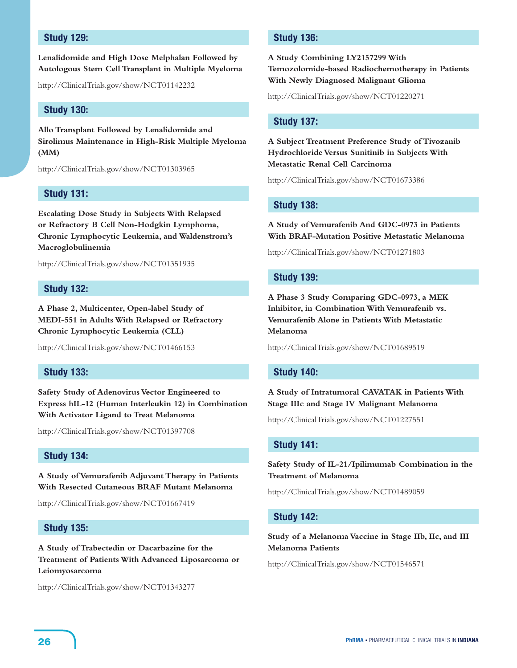# **Study 129:**

**Lenalidomide and High Dose Melphalan Followed by Autologous Stem Cell Transplant in Multiple Myeloma**

http://ClinicalTrials.gov/show/NCT01142232

#### **Study 130:**

**Allo Transplant Followed by Lenalidomide and Sirolimus Maintenance in High-Risk Multiple Myeloma (MM)**

http://ClinicalTrials.gov/show/NCT01303965

#### **Study 131:**

**Escalating Dose Study in Subjects With Relapsed or Refractory B Cell Non-Hodgkin Lymphoma, Chronic Lymphocytic Leukemia, and Waldenstrom's Macroglobulinemia**

http://ClinicalTrials.gov/show/NCT01351935

#### **Study 132:**

**A Phase 2, Multicenter, Open-label Study of MEDI-551 in Adults With Relapsed or Refractory Chronic Lymphocytic Leukemia (CLL)**

http://ClinicalTrials.gov/show/NCT01466153

# **Study 133:**

**Safety Study of Adenovirus Vector Engineered to Express hIL-12 (Human Interleukin 12) in Combination With Activator Ligand to Treat Melanoma**

http://ClinicalTrials.gov/show/NCT01397708

# **Study 134:**

**A Study of Vemurafenib Adjuvant Therapy in Patients With Resected Cutaneous BRAF Mutant Melanoma**

http://ClinicalTrials.gov/show/NCT01667419

# **Study 135:**

**A Study of Trabectedin or Dacarbazine for the Treatment of Patients With Advanced Liposarcoma or Leiomyosarcoma**

http://ClinicalTrials.gov/show/NCT01343277

# **Study 136:**

**A Study Combining LY2157299 With Temozolomide-based Radiochemotherapy in Patients With Newly Diagnosed Malignant Glioma**

http://ClinicalTrials.gov/show/NCT01220271

#### **Study 137:**

**A Subject Treatment Preference Study of Tivozanib Hydrochloride Versus Sunitinib in Subjects With Metastatic Renal Cell Carcinoma**

http://ClinicalTrials.gov/show/NCT01673386

#### **Study 138:**

**A Study of Vemurafenib And GDC-0973 in Patients With BRAF-Mutation Positive Metastatic Melanoma**

http://ClinicalTrials.gov/show/NCT01271803

#### **Study 139:**

**A Phase 3 Study Comparing GDC-0973, a MEK Inhibitor, in Combination With Vemurafenib vs. Vemurafenib Alone in Patients With Metastatic Melanoma**

http://ClinicalTrials.gov/show/NCT01689519

#### **Study 140:**

**A Study of Intratumoral CAVATAK in Patients With Stage IIIc and Stage IV Malignant Melanoma**

http://ClinicalTrials.gov/show/NCT01227551

# **Study 141:**

**Safety Study of IL-21/Ipilimumab Combination in the Treatment of Melanoma**

http://ClinicalTrials.gov/show/NCT01489059

#### **Study 142:**

**Study of a Melanoma Vaccine in Stage IIb, IIc, and III Melanoma Patients**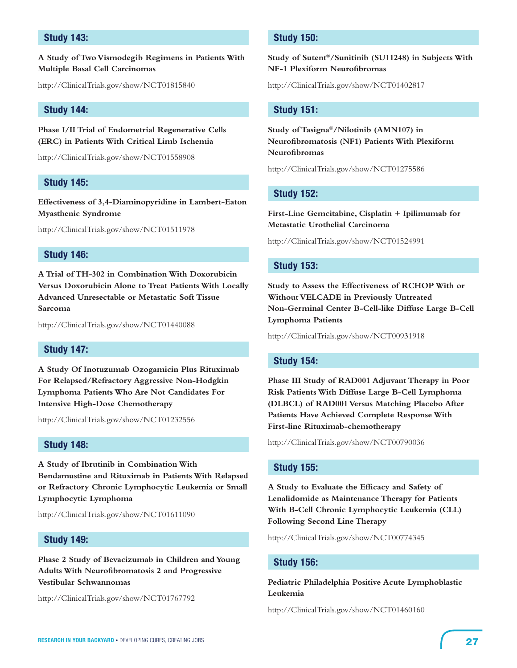# **Study 143:**

**A Study of Two Vismodegib Regimens in Patients With Multiple Basal Cell Carcinomas**

http://ClinicalTrials.gov/show/NCT01815840

#### **Study 144:**

**Phase I/II Trial of Endometrial Regenerative Cells (ERC) in Patients With Critical Limb Ischemia**

http://ClinicalTrials.gov/show/NCT01558908

#### **Study 145:**

**Effectiveness of 3,4-Diaminopyridine in Lambert-Eaton Myasthenic Syndrome**

http://ClinicalTrials.gov/show/NCT01511978

# **Study 146:**

**A Trial of TH-302 in Combination With Doxorubicin Versus Doxorubicin Alone to Treat Patients With Locally Advanced Unresectable or Metastatic Soft Tissue Sarcoma**

http://ClinicalTrials.gov/show/NCT01440088

# **Study 147:**

**A Study Of Inotuzumab Ozogamicin Plus Rituximab For Relapsed/Refractory Aggressive Non-Hodgkin Lymphoma Patients Who Are Not Candidates For Intensive High-Dose Chemotherapy**

http://ClinicalTrials.gov/show/NCT01232556

# **Study 148:**

**A Study of Ibrutinib in Combination With Bendamustine and Rituximab in Patients With Relapsed or Refractory Chronic Lymphocytic Leukemia or Small Lymphocytic Lymphoma**

http://ClinicalTrials.gov/show/NCT01611090

# **Study 149:**

**Phase 2 Study of Bevacizumab in Children and Young Adults With Neurofibromatosis 2 and Progressive Vestibular Schwannomas**

http://ClinicalTrials.gov/show/NCT01767792

# **Study 150:**

**Study of Sutent®/Sunitinib (SU11248) in Subjects With NF-1 Plexiform Neurofibromas**

http://ClinicalTrials.gov/show/NCT01402817

#### **Study 151:**

**Study of Tasigna®/Nilotinib (AMN107) in Neurofibromatosis (NF1) Patients With Plexiform Neurofibromas**

http://ClinicalTrials.gov/show/NCT01275586

#### **Study 152:**

**First-Line Gemcitabine, Cisplatin + Ipilimumab for Metastatic Urothelial Carcinoma**

http://ClinicalTrials.gov/show/NCT01524991

#### **Study 153:**

**Study to Assess the Effectiveness of RCHOP With or Without VELCADE in Previously Untreated Non-Germinal Center B-Cell-like Diffuse Large B-Cell Lymphoma Patients**

http://ClinicalTrials.gov/show/NCT00931918

#### **Study 154:**

**Phase III Study of RAD001 Adjuvant Therapy in Poor Risk Patients With Diffuse Large B-Cell Lymphoma (DLBCL) of RAD001 Versus Matching Placebo After Patients Have Achieved Complete Response With First-line Rituximab-chemotherapy** 

http://ClinicalTrials.gov/show/NCT00790036

#### **Study 155:**

**A Study to Evaluate the Efficacy and Safety of Lenalidomide as Maintenance Therapy for Patients With B-Cell Chronic Lymphocytic Leukemia (CLL) Following Second Line Therapy**

http://ClinicalTrials.gov/show/NCT00774345

#### **Study 156:**

**Pediatric Philadelphia Positive Acute Lymphoblastic Leukemia**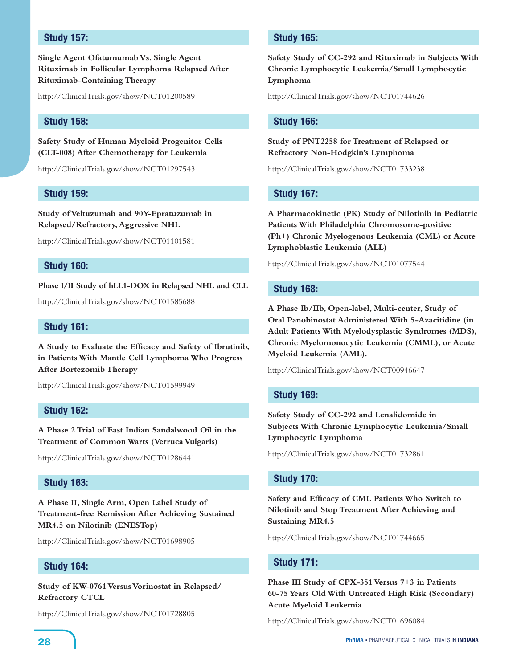# **Study 157:**

**Single Agent Ofatumumab Vs. Single Agent Rituximab in Follicular Lymphoma Relapsed After Rituximab-Containing Therapy**

http://ClinicalTrials.gov/show/NCT01200589

# **Study 158:**

**Safety Study of Human Myeloid Progenitor Cells (CLT-008) After Chemotherapy for Leukemia**

http://ClinicalTrials.gov/show/NCT01297543

#### **Study 159:**

**Study of Veltuzumab and 90Y-Epratuzumab in Relapsed/Refractory, Aggressive NHL**

http://ClinicalTrials.gov/show/NCT01101581

# **Study 160:**

**Phase I/II Study of hLL1-DOX in Relapsed NHL and CLL**

http://ClinicalTrials.gov/show/NCT01585688

# **Study 161:**

**A Study to Evaluate the Efficacy and Safety of Ibrutinib, in Patients With Mantle Cell Lymphoma Who Progress After Bortezomib Therapy**

http://ClinicalTrials.gov/show/NCT01599949

# **Study 162:**

**A Phase 2 Trial of East Indian Sandalwood Oil in the Treatment of Common Warts (Verruca Vulgaris)**

http://ClinicalTrials.gov/show/NCT01286441

# **Study 163:**

**A Phase II, Single Arm, Open Label Study of Treatment-free Remission After Achieving Sustained MR4.5 on Nilotinib (ENESTop)**

http://ClinicalTrials.gov/show/NCT01698905

# **Study 164:**

**Study of KW-0761 Versus Vorinostat in Relapsed/ Refractory CTCL**

http://ClinicalTrials.gov/show/NCT01728805

# **Study 165:**

**Safety Study of CC-292 and Rituximab in Subjects With Chronic Lymphocytic Leukemia/Small Lymphocytic Lymphoma**

http://ClinicalTrials.gov/show/NCT01744626

#### **Study 166:**

**Study of PNT2258 for Treatment of Relapsed or Refractory Non-Hodgkin's Lymphoma**

http://ClinicalTrials.gov/show/NCT01733238

#### **Study 167:**

**A Pharmacokinetic (PK) Study of Nilotinib in Pediatric Patients With Philadelphia Chromosome-positive (Ph+) Chronic Myelogenous Leukemia (CML) or Acute Lymphoblastic Leukemia (ALL)**

http://ClinicalTrials.gov/show/NCT01077544

#### **Study 168:**

**A Phase Ib/IIb, Open-label, Multi-center, Study of Oral Panobinostat Administered With 5-Azacitidine (in Adult Patients With Myelodysplastic Syndromes (MDS), Chronic Myelomonocytic Leukemia (CMML), or Acute Myeloid Leukemia (AML).**

http://ClinicalTrials.gov/show/NCT00946647

#### **Study 169:**

**Safety Study of CC-292 and Lenalidomide in Subjects With Chronic Lymphocytic Leukemia/Small Lymphocytic Lymphoma**

http://ClinicalTrials.gov/show/NCT01732861

#### **Study 170:**

**Safety and Efficacy of CML Patients Who Switch to Nilotinib and Stop Treatment After Achieving and Sustaining MR4.5**

http://ClinicalTrials.gov/show/NCT01744665

#### **Study 171:**

**Phase III Study of CPX-351 Versus 7+3 in Patients 60-75 Years Old With Untreated High Risk (Secondary) Acute Myeloid Leukemia**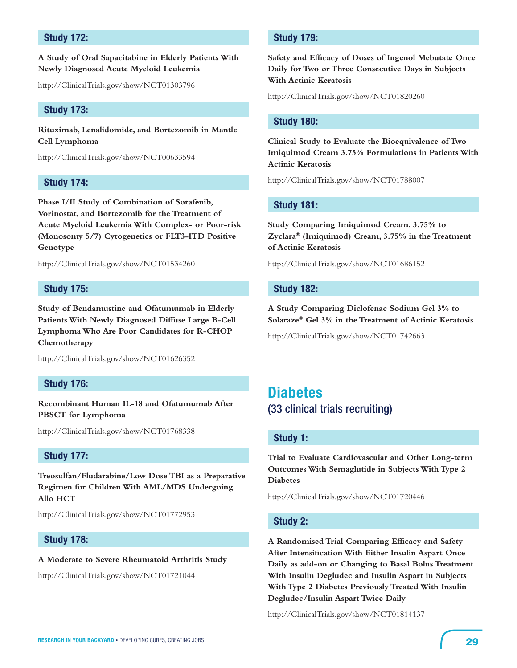# **Study 172:**

**A Study of Oral Sapacitabine in Elderly Patients With Newly Diagnosed Acute Myeloid Leukemia**

http://ClinicalTrials.gov/show/NCT01303796

#### **Study 173:**

**Rituximab, Lenalidomide, and Bortezomib in Mantle Cell Lymphoma**

http://ClinicalTrials.gov/show/NCT00633594

# **Study 174:**

**Phase I/II Study of Combination of Sorafenib, Vorinostat, and Bortezomib for the Treatment of Acute Myeloid Leukemia With Complex- or Poor-risk (Monosomy 5/7) Cytogenetics or FLT3-ITD Positive Genotype**

http://ClinicalTrials.gov/show/NCT01534260

#### **Study 175:**

**Study of Bendamustine and Ofatumumab in Elderly Patients With Newly Diagnosed Diffuse Large B-Cell Lymphoma Who Are Poor Candidates for R-CHOP Chemotherapy**

http://ClinicalTrials.gov/show/NCT01626352

# **Study 176:**

**Recombinant Human IL-18 and Ofatumumab After PBSCT for Lymphoma**

http://ClinicalTrials.gov/show/NCT01768338

# **Study 177:**

**Treosulfan/Fludarabine/Low Dose TBI as a Preparative Regimen for Children With AML/MDS Undergoing Allo HCT**

http://ClinicalTrials.gov/show/NCT01772953

# **Study 178:**

#### **A Moderate to Severe Rheumatoid Arthritis Study**

http://ClinicalTrials.gov/show/NCT01721044

# **Study 179:**

**Safety and Efficacy of Doses of Ingenol Mebutate Once Daily for Two or Three Consecutive Days in Subjects With Actinic Keratosis**

http://ClinicalTrials.gov/show/NCT01820260

#### **Study 180:**

**Clinical Study to Evaluate the Bioequivalence of Two Imiquimod Cream 3.75% Formulations in Patients With Actinic Keratosis**

http://ClinicalTrials.gov/show/NCT01788007

# **Study 181:**

**Study Comparing Imiquimod Cream, 3.75% to Zyclara® (Imiquimod) Cream, 3.75% in the Treatment of Actinic Keratosis**

http://ClinicalTrials.gov/show/NCT01686152

#### **Study 182:**

**A Study Comparing Diclofenac Sodium Gel 3% to Solaraze® Gel 3% in the Treatment of Actinic Keratosis**

http://ClinicalTrials.gov/show/NCT01742663

# **Diabetes**  (33 clinical trials recruiting)

# **Study 1:**

**Trial to Evaluate Cardiovascular and Other Long-term Outcomes With Semaglutide in Subjects With Type 2 Diabetes**

http://ClinicalTrials.gov/show/NCT01720446

# **Study 2:**

**A Randomised Trial Comparing Efficacy and Safety After Intensification With Either Insulin Aspart Once Daily as add-on or Changing to Basal Bolus Treatment With Insulin Degludec and Insulin Aspart in Subjects With Type 2 Diabetes Previously Treated With Insulin Degludec/Insulin Aspart Twice Daily**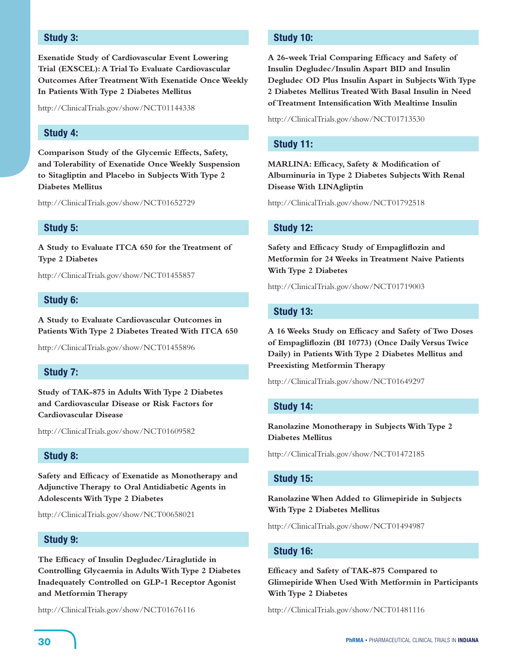# **Study 3:**

**Exenatide Study of Cardiovascular Event Lowering Trial (EXSCEL): A Trial To Evaluate Cardiovascular Outcomes After Treatment With Exenatide Once Weekly In Patients With Type 2 Diabetes Mellitus**

http://ClinicalTrials.gov/show/NCT01144338

# **Study 4:**

**Comparison Study of the Glycemic Effects, Safety, and Tolerability of Exenatide Once Weekly Suspension to Sitagliptin and Placebo in Subjects With Type 2 Diabetes Mellitus**

http://ClinicalTrials.gov/show/NCT01652729

#### **Study 5:**

**A Study to Evaluate ITCA 650 for the Treatment of Type 2 Diabetes**

http://ClinicalTrials.gov/show/NCT01455857

#### **Study 6:**

**A Study to Evaluate Cardiovascular Outcomes in Patients With Type 2 Diabetes Treated With ITCA 650**

http://ClinicalTrials.gov/show/NCT01455896

# **Study 7:**

**Study of TAK-875 in Adults With Type 2 Diabetes and Cardiovascular Disease or Risk Factors for Cardiovascular Disease**

http://ClinicalTrials.gov/show/NCT01609582

#### **Study 8:**

**Safety and Efficacy of Exenatide as Monotherapy and Adjunctive Therapy to Oral Antidiabetic Agents in Adolescents With Type 2 Diabetes**

http://ClinicalTrials.gov/show/NCT00658021

# **Study 9:**

**The Efficacy of Insulin Degludec/Liraglutide in Controlling Glycaemia in Adults With Type 2 Diabetes Inadequately Controlled on GLP-1 Receptor Agonist and Metformin Therapy**

http://ClinicalTrials.gov/show/NCT01676116

# **Study 10:**

**A 26-week Trial Comparing Efficacy and Safety of Insulin Degludec/Insulin Aspart BID and Insulin Degludec OD Plus Insulin Aspart in Subjects With Type 2 Diabetes Mellitus Treated With Basal Insulin in Need of Treatment Intensification With Mealtime Insulin**

http://ClinicalTrials.gov/show/NCT01713530

# **Study 11:**

**MARLINA: Efficacy, Safety & Modification of Albuminuria in Type 2 Diabetes Subjects With Renal Disease With LINAgliptin**

http://ClinicalTrials.gov/show/NCT01792518

#### **Study 12:**

**Safety and Efficacy Study of Empagliflozin and Metformin for 24 Weeks in Treatment Naive Patients With Type 2 Diabetes**

http://ClinicalTrials.gov/show/NCT01719003

# **Study 13:**

**A 16 Weeks Study on Efficacy and Safety of Two Doses of Empagliflozin (BI 10773) (Once Daily Versus Twice Daily) in Patients With Type 2 Diabetes Mellitus and Preexisting Metformin Therapy**

http://ClinicalTrials.gov/show/NCT01649297

#### **Study 14:**

**Ranolazine Monotherapy in Subjects With Type 2 Diabetes Mellitus**

http://ClinicalTrials.gov/show/NCT01472185

#### **Study 15:**

**Ranolazine When Added to Glimepiride in Subjects With Type 2 Diabetes Mellitus**

http://ClinicalTrials.gov/show/NCT01494987

# **Study 16:**

**Efficacy and Safety of TAK-875 Compared to Glimepiride When Used With Metformin in Participants With Type 2 Diabetes**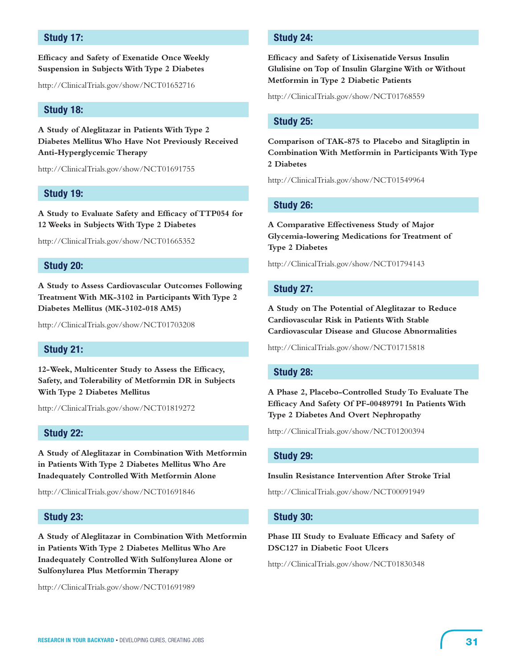# **Study 17:**

# **Efficacy and Safety of Exenatide Once Weekly Suspension in Subjects With Type 2 Diabetes**

http://ClinicalTrials.gov/show/NCT01652716

#### **Study 18:**

**A Study of Aleglitazar in Patients With Type 2 Diabetes Mellitus Who Have Not Previously Received Anti-Hyperglycemic Therapy**

http://ClinicalTrials.gov/show/NCT01691755

#### **Study 19:**

**A Study to Evaluate Safety and Efficacy of TTP054 for 12 Weeks in Subjects With Type 2 Diabetes**

http://ClinicalTrials.gov/show/NCT01665352

# **Study 20:**

**A Study to Assess Cardiovascular Outcomes Following Treatment With MK-3102 in Participants With Type 2 Diabetes Mellitus (MK-3102-018 AM5)**

http://ClinicalTrials.gov/show/NCT01703208

# **Study 21:**

**12-Week, Multicenter Study to Assess the Efficacy, Safety, and Tolerability of Metformin DR in Subjects With Type 2 Diabetes Mellitus**

http://ClinicalTrials.gov/show/NCT01819272

#### **Study 22:**

**A Study of Aleglitazar in Combination With Metformin in Patients With Type 2 Diabetes Mellitus Who Are Inadequately Controlled With Metformin Alone**

http://ClinicalTrials.gov/show/NCT01691846

#### **Study 23:**

**A Study of Aleglitazar in Combination With Metformin in Patients With Type 2 Diabetes Mellitus Who Are Inadequately Controlled With Sulfonylurea Alone or Sulfonylurea Plus Metformin Therapy**

http://ClinicalTrials.gov/show/NCT01691989

# **Study 24:**

**Efficacy and Safety of Lixisenatide Versus Insulin Glulisine on Top of Insulin Glargine With or Without Metformin in Type 2 Diabetic Patients**

http://ClinicalTrials.gov/show/NCT01768559

#### **Study 25:**

**Comparison of TAK-875 to Placebo and Sitagliptin in Combination With Metformin in Participants With Type 2 Diabetes**

http://ClinicalTrials.gov/show/NCT01549964

#### **Study 26:**

**A Comparative Effectiveness Study of Major Glycemia-lowering Medications for Treatment of Type 2 Diabetes**

http://ClinicalTrials.gov/show/NCT01794143

#### **Study 27:**

**A Study on The Potential of Aleglitazar to Reduce Cardiovascular Risk in Patients With Stable Cardiovascular Disease and Glucose Abnormalities**

http://ClinicalTrials.gov/show/NCT01715818

#### **Study 28:**

**A Phase 2, Placebo-Controlled Study To Evaluate The Efficacy And Safety Of PF-00489791 In Patients With Type 2 Diabetes And Overt Nephropathy**

http://ClinicalTrials.gov/show/NCT01200394

# **Study 29:**

#### **Insulin Resistance Intervention After Stroke Trial**

http://ClinicalTrials.gov/show/NCT00091949

#### **Study 30:**

**Phase III Study to Evaluate Efficacy and Safety of DSC127 in Diabetic Foot Ulcers**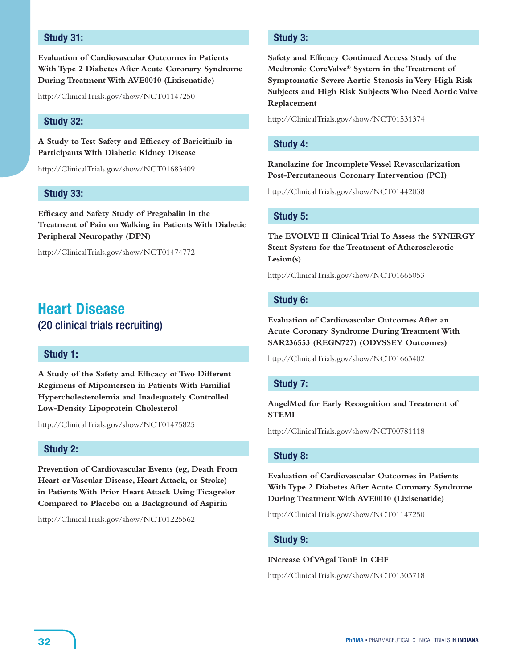# **Study 31:**

**Evaluation of Cardiovascular Outcomes in Patients With Type 2 Diabetes After Acute Coronary Syndrome During Treatment With AVE0010 (Lixisenatide)**

http://ClinicalTrials.gov/show/NCT01147250

# **Study 32:**

**A Study to Test Safety and Efficacy of Baricitinib in Participants With Diabetic Kidney Disease**

http://ClinicalTrials.gov/show/NCT01683409

# **Study 33:**

**Efficacy and Safety Study of Pregabalin in the Treatment of Pain on Walking in Patients With Diabetic Peripheral Neuropathy (DPN)**

http://ClinicalTrials.gov/show/NCT01474772

# **Heart Disease**  (20 clinical trials recruiting)

# **Study 1:**

**A Study of the Safety and Efficacy of Two Different Regimens of Mipomersen in Patients With Familial Hypercholesterolemia and Inadequately Controlled Low-Density Lipoprotein Cholesterol**

http://ClinicalTrials.gov/show/NCT01475825

# **Study 2:**

**Prevention of Cardiovascular Events (eg, Death From Heart or Vascular Disease, Heart Attack, or Stroke) in Patients With Prior Heart Attack Using Ticagrelor Compared to Placebo on a Background of Aspirin**

http://ClinicalTrials.gov/show/NCT01225562

# **Study 3:**

**Safety and Efficacy Continued Access Study of the Medtronic CoreValve® System in the Treatment of Symptomatic Severe Aortic Stenosis in Very High Risk Subjects and High Risk Subjects Who Need Aortic Valve Replacement**

http://ClinicalTrials.gov/show/NCT01531374

#### **Study 4:**

**Ranolazine for Incomplete Vessel Revascularization Post-Percutaneous Coronary Intervention (PCI)**

http://ClinicalTrials.gov/show/NCT01442038

# **Study 5:**

**The EVOLVE II Clinical Trial To Assess the SYNERGY Stent System for the Treatment of Atherosclerotic Lesion(s)**

http://ClinicalTrials.gov/show/NCT01665053

#### **Study 6:**

**Evaluation of Cardiovascular Outcomes After an Acute Coronary Syndrome During Treatment With SAR236553 (REGN727) (ODYSSEY Outcomes)**

http://ClinicalTrials.gov/show/NCT01663402

# **Study 7:**

**AngelMed for Early Recognition and Treatment of STEMI**

http://ClinicalTrials.gov/show/NCT00781118

# **Study 8:**

**Evaluation of Cardiovascular Outcomes in Patients With Type 2 Diabetes After Acute Coronary Syndrome During Treatment With AVE0010 (Lixisenatide)**

http://ClinicalTrials.gov/show/NCT01147250

# **Study 9:**

#### **INcrease Of VAgal TonE in CHF**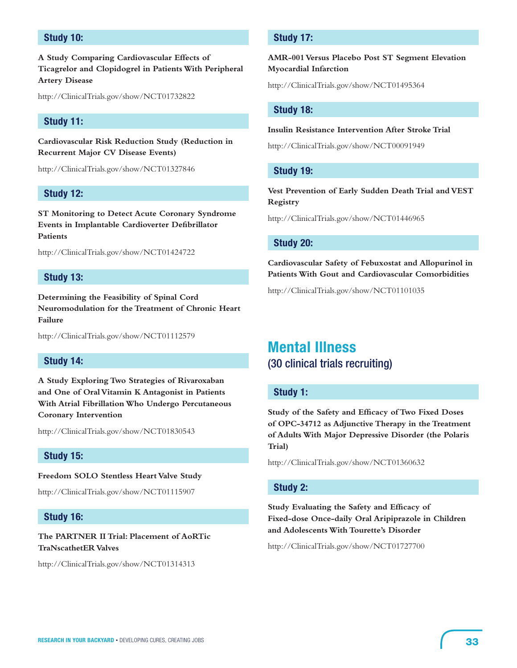# **Study 10:**

**A Study Comparing Cardiovascular Effects of Ticagrelor and Clopidogrel in Patients With Peripheral Artery Disease**

http://ClinicalTrials.gov/show/NCT01732822

# **Study 11:**

**Cardiovascular Risk Reduction Study (Reduction in Recurrent Major CV Disease Events)**

http://ClinicalTrials.gov/show/NCT01327846

# **Study 12:**

**ST Monitoring to Detect Acute Coronary Syndrome Events in Implantable Cardioverter Defibrillator Patients**

http://ClinicalTrials.gov/show/NCT01424722

#### **Study 13:**

**Determining the Feasibility of Spinal Cord Neuromodulation for the Treatment of Chronic Heart Failure**

http://ClinicalTrials.gov/show/NCT01112579

# **Study 14:**

**A Study Exploring Two Strategies of Rivaroxaban and One of Oral Vitamin K Antagonist in Patients With Atrial Fibrillation Who Undergo Percutaneous Coronary Intervention**

http://ClinicalTrials.gov/show/NCT01830543

# **Study 15:**

**Freedom SOLO Stentless Heart Valve Study**

http://ClinicalTrials.gov/show/NCT01115907

# **Study 16:**

**The PARTNER II Trial: Placement of AoRTic TraNscathetER Valves**

http://ClinicalTrials.gov/show/NCT01314313

# **Study 17:**

**AMR-001 Versus Placebo Post ST Segment Elevation Myocardial Infarction**

http://ClinicalTrials.gov/show/NCT01495364

#### **Study 18:**

#### **Insulin Resistance Intervention After Stroke Trial**

http://ClinicalTrials.gov/show/NCT00091949

# **Study 19:**

**Vest Prevention of Early Sudden Death Trial and VEST Registry**

http://ClinicalTrials.gov/show/NCT01446965

#### **Study 20:**

**Cardiovascular Safety of Febuxostat and Allopurinol in Patients With Gout and Cardiovascular Comorbidities**

http://ClinicalTrials.gov/show/NCT01101035

# **Mental Illness** (30 clinical trials recruiting)

#### **Study 1:**

**Study of the Safety and Efficacy of Two Fixed Doses of OPC-34712 as Adjunctive Therapy in the Treatment of Adults With Major Depressive Disorder (the Polaris Trial)**

http://ClinicalTrials.gov/show/NCT01360632

# **Study 2:**

**Study Evaluating the Safety and Efficacy of Fixed-dose Once-daily Oral Aripiprazole in Children and Adolescents With Tourette's Disorder**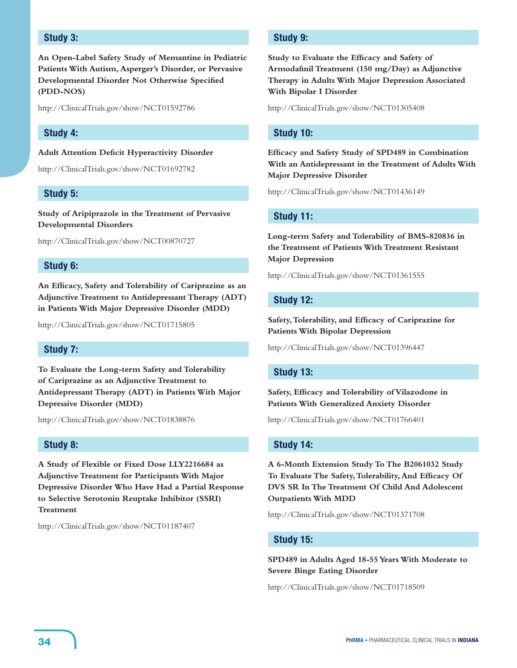# **Study 3:**

**An Open-Label Safety Study of Memantine in Pediatric Patients With Autism, Asperger's Disorder, or Pervasive Developmental Disorder Not Otherwise Specified (PDD-NOS)**

http://ClinicalTrials.gov/show/NCT01592786

# **Study 4:**

#### **Adult Attention Deficit Hyperactivity Disorder**

http://ClinicalTrials.gov/show/NCT01692782

#### **Study 5:**

**Study of Aripiprazole in the Treatment of Pervasive Developmental Disorders**

http://ClinicalTrials.gov/show/NCT00870727

# **Study 6:**

**An Efficacy, Safety and Tolerability of Cariprazine as an Adjunctive Treatment to Antidepressant Therapy (ADT) in Patients With Major Depressive Disorder (MDD)**

http://ClinicalTrials.gov/show/NCT01715805

# **Study 7:**

**To Evaluate the Long-term Safety and Tolerability of Cariprazine as an Adjunctive Treatment to Antidepressant Therapy (ADT) in Patients With Major Depressive Disorder (MDD)**

http://ClinicalTrials.gov/show/NCT01838876

# **Study 8:**

**A Study of Flexible or Fixed Dose LLY2216684 as Adjunctive Treatment for Participants With Major Depressive Disorder Who Have Had a Partial Response to Selective Serotonin Reuptake Inhibitor (SSRI) Treatment**

http://ClinicalTrials.gov/show/NCT01187407

# **Study 9:**

**Study to Evaluate the Efficacy and Safety of Armodafinil Treatment (150 mg/Day) as Adjunctive Therapy in Adults With Major Depression Associated With Bipolar I Disorder**

http://ClinicalTrials.gov/show/NCT01305408

# **Study 10:**

**Efficacy and Safety Study of SPD489 in Combination With an Antidepressant in the Treatment of Adults With Major Depressive Disorder**

http://ClinicalTrials.gov/show/NCT01436149

# **Study 11:**

**Long-term Safety and Tolerability of BMS-820836 in the Treatment of Patients With Treatment Resistant Major Depression**

http://ClinicalTrials.gov/show/NCT01361555

#### **Study 12:**

**Safety, Tolerability, and Efficacy of Cariprazine for Patients With Bipolar Depression**

http://ClinicalTrials.gov/show/NCT01396447

# **Study 13:**

**Safety, Efficacy and Tolerability of Vilazodone in Patients With Generalized Anxiety Disorder**

http://ClinicalTrials.gov/show/NCT01766401

#### **Study 14:**

**A 6-Month Extension Study To The B2061032 Study To Evaluate The Safety, Tolerability, And Efficacy Of DVS SR In The Treatment Of Child And Adolescent Outpatients With MDD**

http://ClinicalTrials.gov/show/NCT01371708

# **Study 15:**

**SPD489 in Adults Aged 18-55 Years With Moderate to Severe Binge Eating Disorder**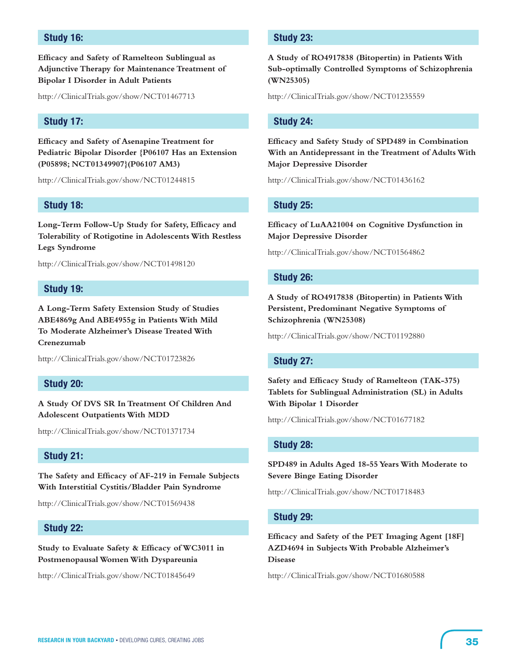# **Study 16:**

**Efficacy and Safety of Ramelteon Sublingual as Adjunctive Therapy for Maintenance Treatment of Bipolar I Disorder in Adult Patients**

http://ClinicalTrials.gov/show/NCT01467713

# **Study 17:**

**Efficacy and Safety of Asenapine Treatment for Pediatric Bipolar Disorder {P06107 Has an Extension (P05898; NCT01349907}(P06107 AM3)**

http://ClinicalTrials.gov/show/NCT01244815

# **Study 18:**

**Long-Term Follow-Up Study for Safety, Efficacy and Tolerability of Rotigotine in Adolescents With Restless Legs Syndrome**

http://ClinicalTrials.gov/show/NCT01498120

#### **Study 19:**

**A Long-Term Safety Extension Study of Studies ABE4869g And ABE4955g in Patients With Mild To Moderate Alzheimer's Disease Treated With Crenezumab**

http://ClinicalTrials.gov/show/NCT01723826

#### **Study 20:**

**A Study Of DVS SR In Treatment Of Children And Adolescent Outpatients With MDD**

http://ClinicalTrials.gov/show/NCT01371734

# **Study 21:**

**The Safety and Efficacy of AF-219 in Female Subjects With Interstitial Cystitis/Bladder Pain Syndrome**

http://ClinicalTrials.gov/show/NCT01569438

# **Study 22:**

**Study to Evaluate Safety & Efficacy of WC3011 in Postmenopausal Women With Dyspareunia**

http://ClinicalTrials.gov/show/NCT01845649

# **Study 23:**

**A Study of RO4917838 (Bitopertin) in Patients With Sub-optimally Controlled Symptoms of Schizophrenia (WN25305)**

http://ClinicalTrials.gov/show/NCT01235559

#### **Study 24:**

**Efficacy and Safety Study of SPD489 in Combination With an Antidepressant in the Treatment of Adults With Major Depressive Disorder**

http://ClinicalTrials.gov/show/NCT01436162

#### **Study 25:**

**Efficacy of LuAA21004 on Cognitive Dysfunction in Major Depressive Disorder**

http://ClinicalTrials.gov/show/NCT01564862

#### **Study 26:**

**A Study of RO4917838 (Bitopertin) in Patients With Persistent, Predominant Negative Symptoms of Schizophrenia (WN25308)**

http://ClinicalTrials.gov/show/NCT01192880

#### **Study 27:**

**Safety and Efficacy Study of Ramelteon (TAK-375) Tablets for Sublingual Administration (SL) in Adults With Bipolar 1 Disorder**

http://ClinicalTrials.gov/show/NCT01677182

#### **Study 28:**

**SPD489 in Adults Aged 18-55 Years With Moderate to Severe Binge Eating Disorder**

http://ClinicalTrials.gov/show/NCT01718483

#### **Study 29:**

**Efficacy and Safety of the PET Imaging Agent [18F] AZD4694 in Subjects With Probable Alzheimer's Disease**